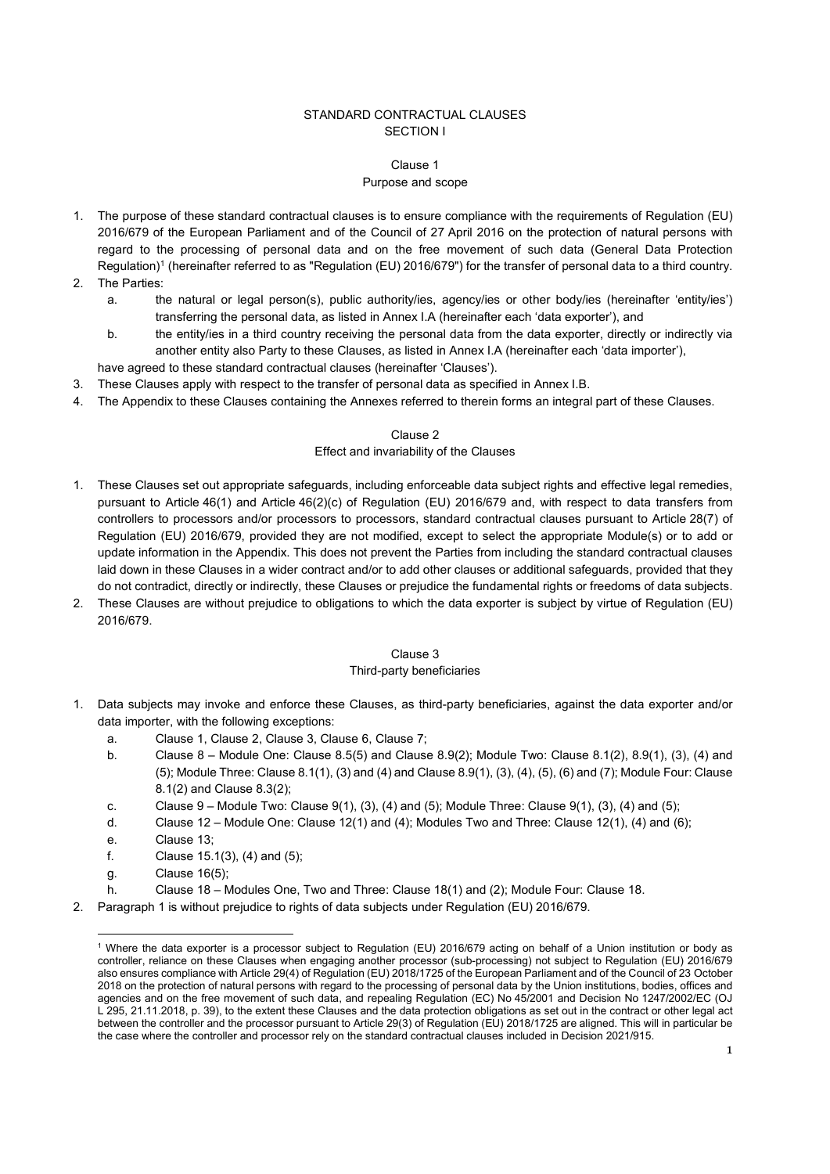# STANDARD CONTRACTUAL CLAUSES SECTION I

#### Clause 1

# Purpose and scope

- 1. The purpose of these standard contractual clauses is to ensure compliance with the requirements of Regulation (EU) 2016/679 of the European Parliament and of the Council of 27 April 2016 on the protection of natural persons with regard to the processing of personal data and on the free movement of such data (General Data Protection Regulation)<sup>1</sup> (hereinafter referred to as "Regulation (EU) 2016/679") for the transfer of personal data to a third country.
- 2. The Parties:
	- a. the natural or legal person(s), public authority/ies, agency/ies or other body/ies (hereinafter 'entity/ies') transferring the personal data, as listed in Annex I.A (hereinafter each 'data exporter'), and
	- b. the entity/ies in a third country receiving the personal data from the data exporter, directly or indirectly via another entity also Party to these Clauses, as listed in Annex I.A (hereinafter each 'data importer'),
	- have agreed to these standard contractual clauses (hereinafter 'Clauses').
- 3. These Clauses apply with respect to the transfer of personal data as specified in Annex I.B.
- 4. The Appendix to these Clauses containing the Annexes referred to therein forms an integral part of these Clauses.

#### Clause 2

## Effect and invariability of the Clauses

- 1. These Clauses set out appropriate safeguards, including enforceable data subject rights and effective legal remedies, pursuant to Article 46(1) and Article 46(2)(c) of Regulation (EU) 2016/679 and, with respect to data transfers from controllers to processors and/or processors to processors, standard contractual clauses pursuant to Article 28(7) of Regulation (EU) 2016/679, provided they are not modified, except to select the appropriate Module(s) or to add or update information in the Appendix. This does not prevent the Parties from including the standard contractual clauses laid down in these Clauses in a wider contract and/or to add other clauses or additional safeguards, provided that they do not contradict, directly or indirectly, these Clauses or prejudice the fundamental rights or freedoms of data subjects.
- 2. These Clauses are without prejudice to obligations to which the data exporter is subject by virtue of Regulation (EU) 2016/679.

# Clause 3

#### Third-party beneficiaries

- 1. Data subjects may invoke and enforce these Clauses, as third-party beneficiaries, against the data exporter and/or data importer, with the following exceptions:
	- a. Clause 1, Clause 2, Clause 3, Clause 6, Clause 7;
	- b. Clause 8 Module One: Clause 8.5(5) and Clause 8.9(2); Module Two: Clause 8.1(2), 8.9(1), (3), (4) and (5); Module Three: Clause 8.1(1), (3) and (4) and Clause 8.9(1), (3), (4), (5), (6) and (7); Module Four: Clause 8.1(2) and Clause 8.3(2);
	- c. Clause  $9$  Module Two: Clause  $9(1)$ ,  $(3)$ ,  $(4)$  and  $(5)$ ; Module Three: Clause  $9(1)$ ,  $(3)$ ,  $(4)$  and  $(5)$ ;
	- d. Clause 12 Module One: Clause 12(1) and (4); Modules Two and Three: Clause 12(1), (4) and (6);
	- e. Clause 13;
	- f. Clause 15.1(3), (4) and (5);
	- g. Clause 16(5);

-

- h. Clause 18 Modules One, Two and Three: Clause 18(1) and (2); Module Four: Clause 18.
- 2. Paragraph 1 is without prejudice to rights of data subjects under Regulation (EU) 2016/679.

<sup>1</sup> Where the data exporter is a processor subject to Regulation (EU) 2016/679 acting on behalf of a Union institution or body as controller, reliance on these Clauses when engaging another processor (sub-processing) not subject to Regulation (EU) 2016/679 also ensures compliance with Article 29(4) of Regulation (EU) 2018/1725 of the European Parliament and of the Council of 23 October 2018 on the protection of natural persons with regard to the processing of personal data by the Union institutions, bodies, offices and agencies and on the free movement of such data, and repealing Regulation (EC) No 45/2001 and Decision No 1247/2002/EC (OJ L 295, 21.11.2018, p. 39), to the extent these Clauses and the data protection obligations as set out in the contract or other legal act between the controller and the processor pursuant to Article 29(3) of Regulation (EU) 2018/1725 are aligned. This will in particular be the case where the controller and processor rely on the standard contractual clauses included in Decision 2021/915.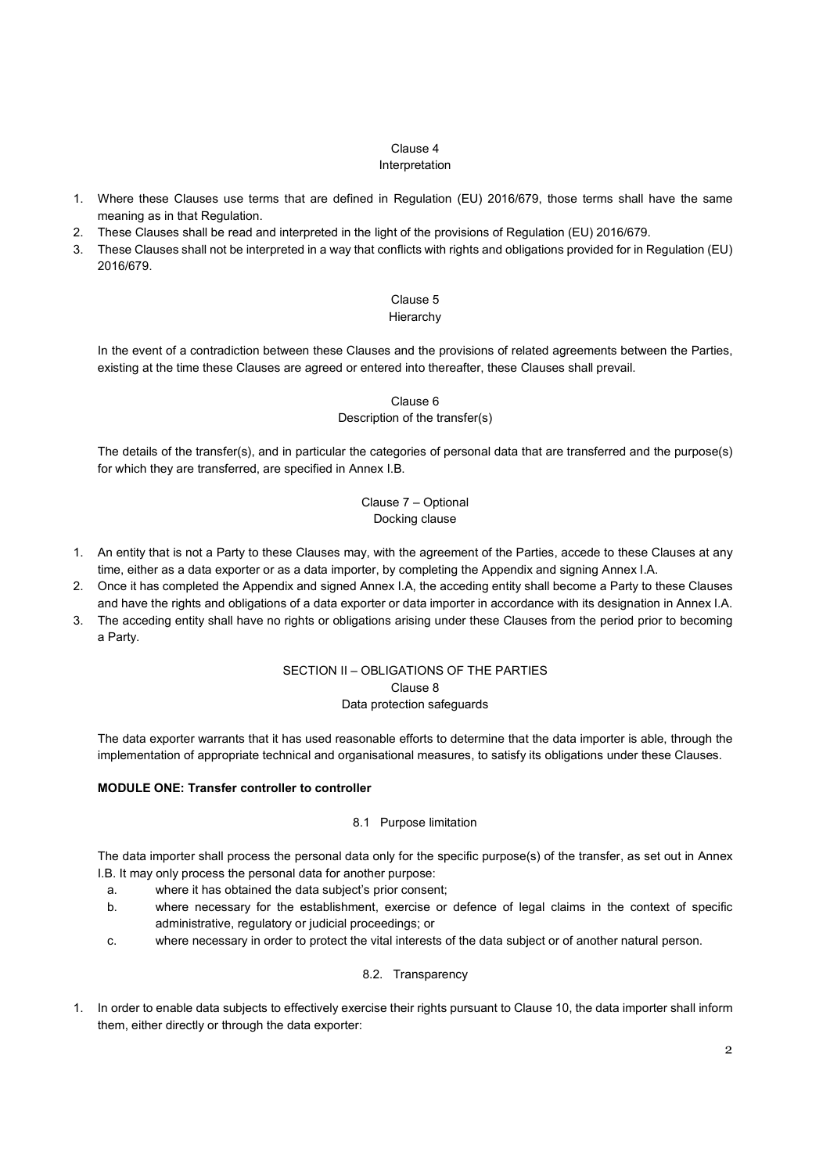# Clause 4

# Interpretation

- 1. Where these Clauses use terms that are defined in Regulation (EU) 2016/679, those terms shall have the same meaning as in that Regulation.
- 2. These Clauses shall be read and interpreted in the light of the provisions of Regulation (EU) 2016/679.
- 3. These Clauses shall not be interpreted in a way that conflicts with rights and obligations provided for in Regulation (EU) 2016/679.

#### Clause 5 Hierarchy

In the event of a contradiction between these Clauses and the provisions of related agreements between the Parties, existing at the time these Clauses are agreed or entered into thereafter, these Clauses shall prevail.

> Clause 6 Description of the transfer(s)

The details of the transfer(s), and in particular the categories of personal data that are transferred and the purpose(s) for which they are transferred, are specified in Annex I.B.

> Clause 7 – Optional Docking clause

- 1. An entity that is not a Party to these Clauses may, with the agreement of the Parties, accede to these Clauses at any time, either as a data exporter or as a data importer, by completing the Appendix and signing Annex I.A.
- 2. Once it has completed the Appendix and signed Annex I.A, the acceding entity shall become a Party to these Clauses and have the rights and obligations of a data exporter or data importer in accordance with its designation in Annex I.A.
- 3. The acceding entity shall have no rights or obligations arising under these Clauses from the period prior to becoming a Party.

SECTION II – OBLIGATIONS OF THE PARTIES Clause 8 Data protection safeguards

The data exporter warrants that it has used reasonable efforts to determine that the data importer is able, through the implementation of appropriate technical and organisational measures, to satisfy its obligations under these Clauses.

# MODULE ONE: Transfer controller to controller

### 8.1 Purpose limitation

The data importer shall process the personal data only for the specific purpose(s) of the transfer, as set out in Annex I.B. It may only process the personal data for another purpose:

- a. where it has obtained the data subject's prior consent;
- b. where necessary for the establishment, exercise or defence of legal claims in the context of specific administrative, regulatory or judicial proceedings; or
- c. where necessary in order to protect the vital interests of the data subject or of another natural person.

# 8.2. Transparency

1. In order to enable data subjects to effectively exercise their rights pursuant to Clause 10, the data importer shall inform them, either directly or through the data exporter: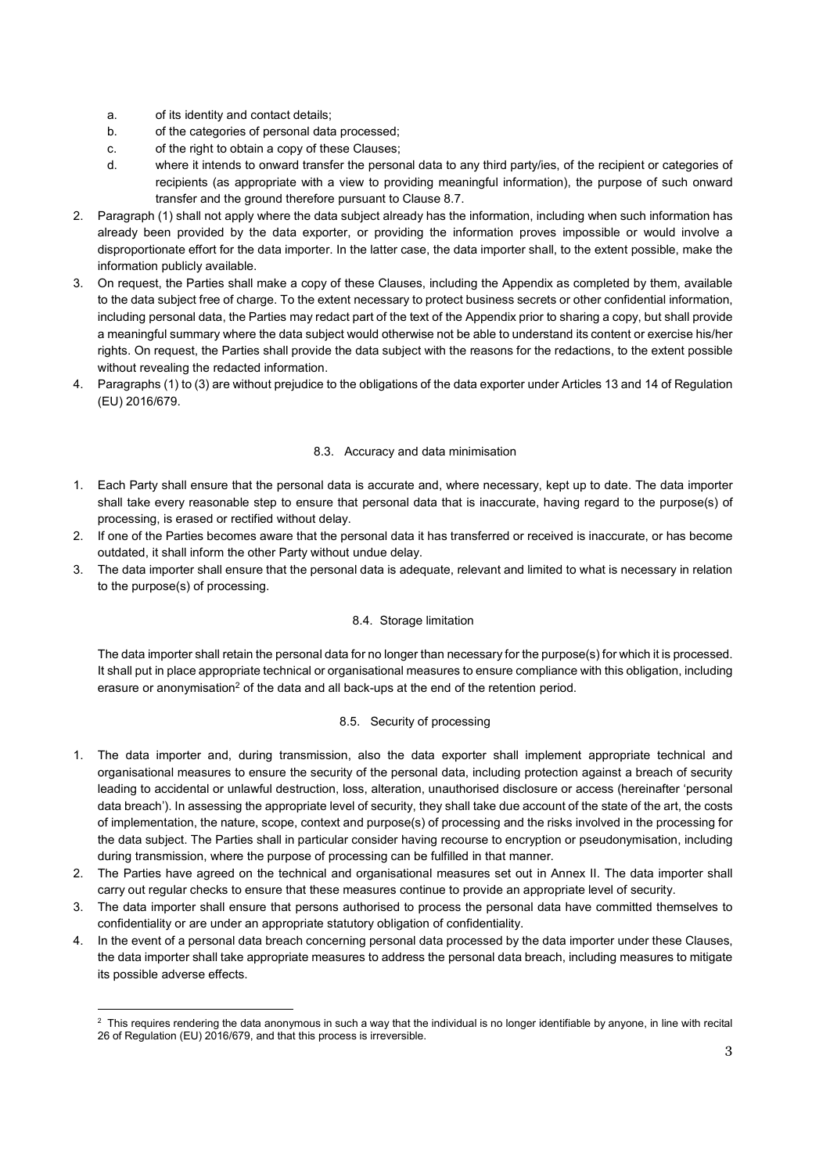a. of its identity and contact details;

-

- b. of the categories of personal data processed;
- c. of the right to obtain a copy of these Clauses;
- d. where it intends to onward transfer the personal data to any third party/ies, of the recipient or categories of recipients (as appropriate with a view to providing meaningful information), the purpose of such onward transfer and the ground therefore pursuant to Clause 8.7.
- 2. Paragraph (1) shall not apply where the data subject already has the information, including when such information has already been provided by the data exporter, or providing the information proves impossible or would involve a disproportionate effort for the data importer. In the latter case, the data importer shall, to the extent possible, make the information publicly available.
- 3. On request, the Parties shall make a copy of these Clauses, including the Appendix as completed by them, available to the data subject free of charge. To the extent necessary to protect business secrets or other confidential information, including personal data, the Parties may redact part of the text of the Appendix prior to sharing a copy, but shall provide a meaningful summary where the data subject would otherwise not be able to understand its content or exercise his/her rights. On request, the Parties shall provide the data subject with the reasons for the redactions, to the extent possible without revealing the redacted information.
- 4. Paragraphs (1) to (3) are without prejudice to the obligations of the data exporter under Articles 13 and 14 of Regulation (EU) 2016/679.

#### 8.3. Accuracy and data minimisation

- 1. Each Party shall ensure that the personal data is accurate and, where necessary, kept up to date. The data importer shall take every reasonable step to ensure that personal data that is inaccurate, having regard to the purpose(s) of processing, is erased or rectified without delay.
- 2. If one of the Parties becomes aware that the personal data it has transferred or received is inaccurate, or has become outdated, it shall inform the other Party without undue delay.
- 3. The data importer shall ensure that the personal data is adequate, relevant and limited to what is necessary in relation to the purpose(s) of processing.

#### 8.4. Storage limitation

The data importer shall retain the personal data for no longer than necessary for the purpose(s) for which it is processed. It shall put in place appropriate technical or organisational measures to ensure compliance with this obligation, including erasure or anonymisation<sup>2</sup> of the data and all back-ups at the end of the retention period.

# 8.5. Security of processing

- 1. The data importer and, during transmission, also the data exporter shall implement appropriate technical and organisational measures to ensure the security of the personal data, including protection against a breach of security leading to accidental or unlawful destruction, loss, alteration, unauthorised disclosure or access (hereinafter 'personal data breach'). In assessing the appropriate level of security, they shall take due account of the state of the art, the costs of implementation, the nature, scope, context and purpose(s) of processing and the risks involved in the processing for the data subject. The Parties shall in particular consider having recourse to encryption or pseudonymisation, including during transmission, where the purpose of processing can be fulfilled in that manner.
- 2. The Parties have agreed on the technical and organisational measures set out in Annex II. The data importer shall carry out regular checks to ensure that these measures continue to provide an appropriate level of security.
- 3. The data importer shall ensure that persons authorised to process the personal data have committed themselves to confidentiality or are under an appropriate statutory obligation of confidentiality.
- 4. In the event of a personal data breach concerning personal data processed by the data importer under these Clauses, the data importer shall take appropriate measures to address the personal data breach, including measures to mitigate its possible adverse effects.

 $^2$  This requires rendering the data anonymous in such a way that the individual is no longer identifiable by anyone, in line with recital 26 of Regulation (EU) 2016/679, and that this process is irreversible.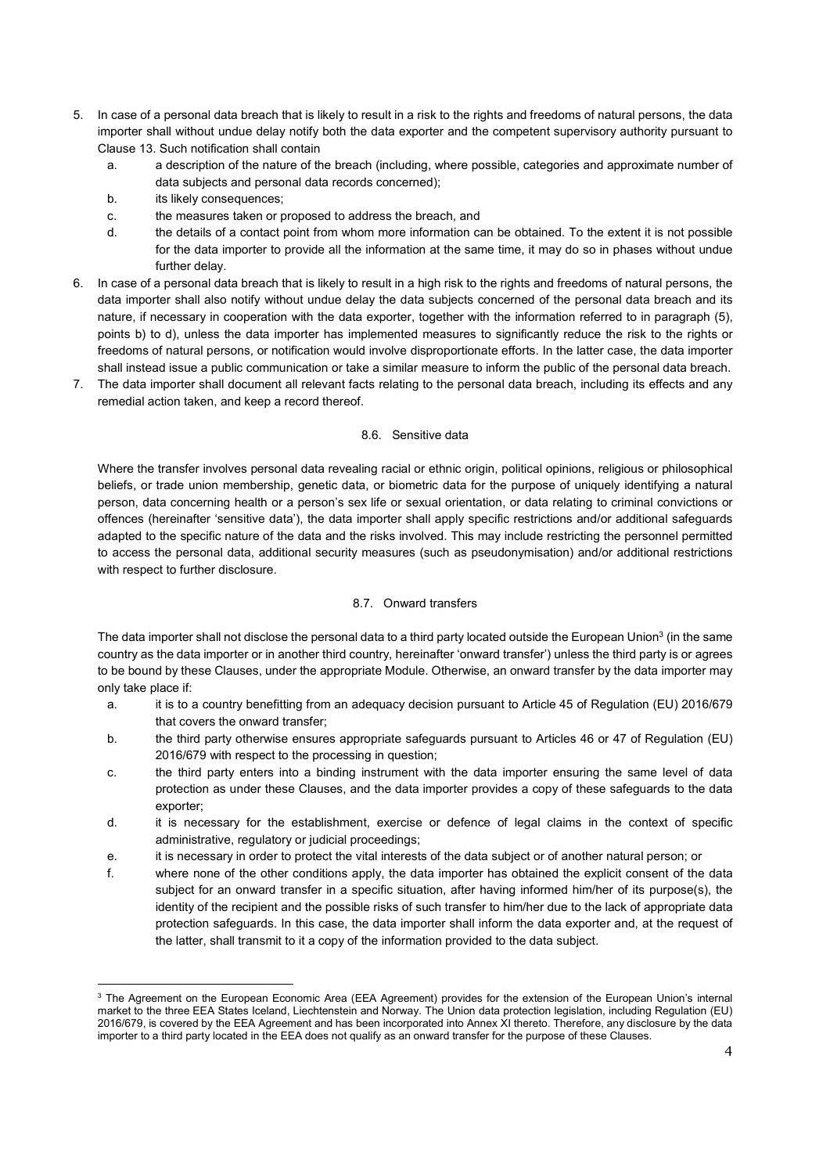- 5. In case of a personal data breach that is likely to result in a risk to the rights and freedoms of natural persons, the data importer shall without undue delay notify both the data exporter and the competent supervisory authority pursuant to Clause 13. Such notification shall contain
	- a. a description of the nature of the breach (including, where possible, categories and approximate number of data subjects and personal data records concerned);
	- b. its likely consequences;
	- c. the measures taken or proposed to address the breach, and
	- d. the details of a contact point from whom more information can be obtained. To the extent it is not possible for the data importer to provide all the information at the same time, it may do so in phases without undue further delay.
- 6. In case of a personal data breach that is likely to result in a high risk to the rights and freedoms of natural persons, the data importer shall also notify without undue delay the data subjects concerned of the personal data breach and its nature, if necessary in cooperation with the data exporter, together with the information referred to in paragraph (5), points b) to d), unless the data importer has implemented measures to significantly reduce the risk to the rights or freedoms of natural persons, or notification would involve disproportionate efforts. In the latter case, the data importer shall instead issue a public communication or take a similar measure to inform the public of the personal data breach.
- 7. The data importer shall document all relevant facts relating to the personal data breach, including its effects and any remedial action taken, and keep a record thereof.

# 8.6. Sensitive data

Where the transfer involves personal data revealing racial or ethnic origin, political opinions, religious or philosophical beliefs, or trade union membership, genetic data, or biometric data for the purpose of uniquely identifying a natural person, data concerning health or a person's sex life or sexual orientation, or data relating to criminal convictions or offences (hereinafter 'sensitive data'), the data importer shall apply specific restrictions and/or additional safeguards adapted to the specific nature of the data and the risks involved. This may include restricting the personnel permitted to access the personal data, additional security measures (such as pseudonymisation) and/or additional restrictions with respect to further disclosure.

# 8.7. Onward transfers

The data importer shall not disclose the personal data to a third party located outside the European Union<sup>3</sup> (in the same country as the data importer or in another third country, hereinafter 'onward transfer') unless the third party is or agrees to be bound by these Clauses, under the appropriate Module. Otherwise, an onward transfer by the data importer may only take place if:

- a. it is to a country benefitting from an adequacy decision pursuant to Article 45 of Regulation (EU) 2016/679 that covers the onward transfer;
- b. the third party otherwise ensures appropriate safeguards pursuant to Articles 46 or 47 of Regulation (EU) 2016/679 with respect to the processing in question;
- c. the third party enters into a binding instrument with the data importer ensuring the same level of data protection as under these Clauses, and the data importer provides a copy of these safeguards to the data exporter;
- d. it is necessary for the establishment, exercise or defence of legal claims in the context of specific administrative, regulatory or judicial proceedings;
- e. it is necessary in order to protect the vital interests of the data subject or of another natural person; or
- f. where none of the other conditions apply, the data importer has obtained the explicit consent of the data subject for an onward transfer in a specific situation, after having informed him/her of its purpose(s), the identity of the recipient and the possible risks of such transfer to him/her due to the lack of appropriate data protection safeguards. In this case, the data importer shall inform the data exporter and, at the request of the latter, shall transmit to it a copy of the information provided to the data subject.

<sup>-</sup><sup>3</sup> The Agreement on the European Economic Area (EEA Agreement) provides for the extension of the European Union's internal market to the three EEA States Iceland, Liechtenstein and Norway. The Union data protection legislation, including Regulation (EU) 2016/679, is covered by the EEA Agreement and has been incorporated into Annex XI thereto. Therefore, any disclosure by the data importer to a third party located in the EEA does not qualify as an onward transfer for the purpose of these Clauses.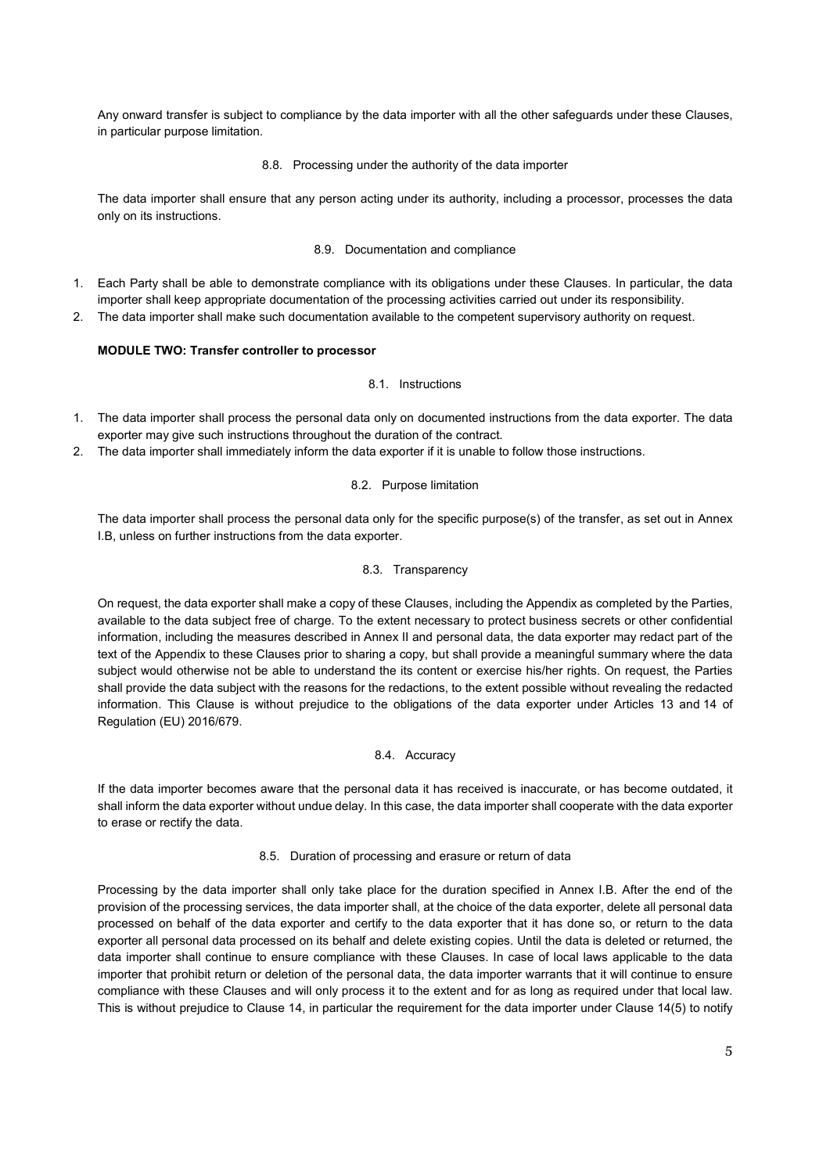Any onward transfer is subject to compliance by the data importer with all the other safeguards under these Clauses, in particular purpose limitation.

### 8.8. Processing under the authority of the data importer

The data importer shall ensure that any person acting under its authority, including a processor, processes the data only on its instructions.

#### 8.9. Documentation and compliance

- 1. Each Party shall be able to demonstrate compliance with its obligations under these Clauses. In particular, the data importer shall keep appropriate documentation of the processing activities carried out under its responsibility.
- 2. The data importer shall make such documentation available to the competent supervisory authority on request.

#### MODULE TWO: Transfer controller to processor

#### 8.1. Instructions

- 1. The data importer shall process the personal data only on documented instructions from the data exporter. The data exporter may give such instructions throughout the duration of the contract.
- 2. The data importer shall immediately inform the data exporter if it is unable to follow those instructions.

#### 8.2. Purpose limitation

The data importer shall process the personal data only for the specific purpose(s) of the transfer, as set out in Annex I.B, unless on further instructions from the data exporter.

#### 8.3. Transparency

On request, the data exporter shall make a copy of these Clauses, including the Appendix as completed by the Parties, available to the data subject free of charge. To the extent necessary to protect business secrets or other confidential information, including the measures described in Annex II and personal data, the data exporter may redact part of the text of the Appendix to these Clauses prior to sharing a copy, but shall provide a meaningful summary where the data subject would otherwise not be able to understand the its content or exercise his/her rights. On request, the Parties shall provide the data subject with the reasons for the redactions, to the extent possible without revealing the redacted information. This Clause is without prejudice to the obligations of the data exporter under Articles 13 and 14 of Regulation (EU) 2016/679.

#### 8.4. Accuracy

If the data importer becomes aware that the personal data it has received is inaccurate, or has become outdated, it shall inform the data exporter without undue delay. In this case, the data importer shall cooperate with the data exporter to erase or rectify the data.

#### 8.5. Duration of processing and erasure or return of data

Processing by the data importer shall only take place for the duration specified in Annex I.B. After the end of the provision of the processing services, the data importer shall, at the choice of the data exporter, delete all personal data processed on behalf of the data exporter and certify to the data exporter that it has done so, or return to the data exporter all personal data processed on its behalf and delete existing copies. Until the data is deleted or returned, the data importer shall continue to ensure compliance with these Clauses. In case of local laws applicable to the data importer that prohibit return or deletion of the personal data, the data importer warrants that it will continue to ensure compliance with these Clauses and will only process it to the extent and for as long as required under that local law. This is without prejudice to Clause 14, in particular the requirement for the data importer under Clause 14(5) to notify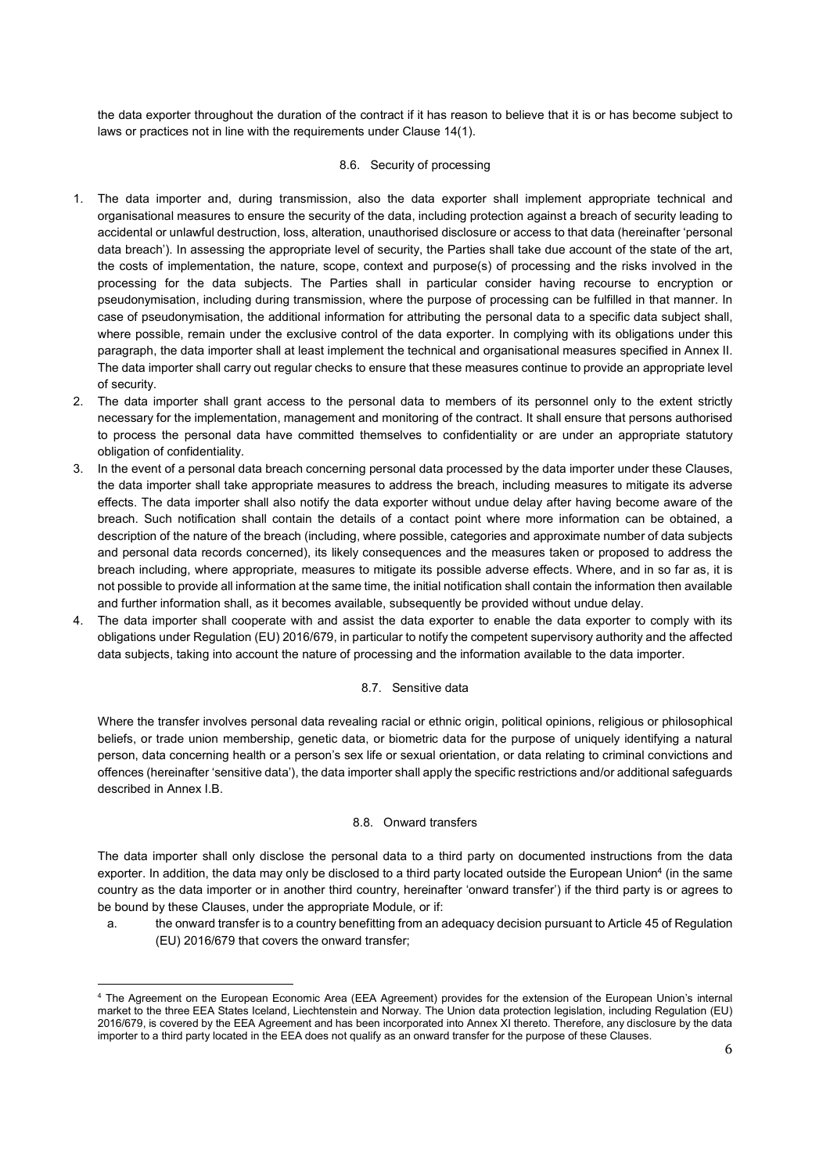the data exporter throughout the duration of the contract if it has reason to believe that it is or has become subject to laws or practices not in line with the requirements under Clause 14(1).

# 8.6. Security of processing

- 1. The data importer and, during transmission, also the data exporter shall implement appropriate technical and organisational measures to ensure the security of the data, including protection against a breach of security leading to accidental or unlawful destruction, loss, alteration, unauthorised disclosure or access to that data (hereinafter 'personal data breach'). In assessing the appropriate level of security, the Parties shall take due account of the state of the art, the costs of implementation, the nature, scope, context and purpose(s) of processing and the risks involved in the processing for the data subjects. The Parties shall in particular consider having recourse to encryption or pseudonymisation, including during transmission, where the purpose of processing can be fulfilled in that manner. In case of pseudonymisation, the additional information for attributing the personal data to a specific data subject shall, where possible, remain under the exclusive control of the data exporter. In complying with its obligations under this paragraph, the data importer shall at least implement the technical and organisational measures specified in Annex II. The data importer shall carry out regular checks to ensure that these measures continue to provide an appropriate level of security.
- 2. The data importer shall grant access to the personal data to members of its personnel only to the extent strictly necessary for the implementation, management and monitoring of the contract. It shall ensure that persons authorised to process the personal data have committed themselves to confidentiality or are under an appropriate statutory obligation of confidentiality.
- 3. In the event of a personal data breach concerning personal data processed by the data importer under these Clauses, the data importer shall take appropriate measures to address the breach, including measures to mitigate its adverse effects. The data importer shall also notify the data exporter without undue delay after having become aware of the breach. Such notification shall contain the details of a contact point where more information can be obtained, a description of the nature of the breach (including, where possible, categories and approximate number of data subjects and personal data records concerned), its likely consequences and the measures taken or proposed to address the breach including, where appropriate, measures to mitigate its possible adverse effects. Where, and in so far as, it is not possible to provide all information at the same time, the initial notification shall contain the information then available and further information shall, as it becomes available, subsequently be provided without undue delay.
- 4. The data importer shall cooperate with and assist the data exporter to enable the data exporter to comply with its obligations under Regulation (EU) 2016/679, in particular to notify the competent supervisory authority and the affected data subjects, taking into account the nature of processing and the information available to the data importer.

#### 8.7. Sensitive data

Where the transfer involves personal data revealing racial or ethnic origin, political opinions, religious or philosophical beliefs, or trade union membership, genetic data, or biometric data for the purpose of uniquely identifying a natural person, data concerning health or a person's sex life or sexual orientation, or data relating to criminal convictions and offences (hereinafter 'sensitive data'), the data importer shall apply the specific restrictions and/or additional safeguards described in Annex I.B.

### 8.8. Onward transfers

The data importer shall only disclose the personal data to a third party on documented instructions from the data exporter. In addition, the data may only be disclosed to a third party located outside the European Union<sup>4</sup> (in the same country as the data importer or in another third country, hereinafter 'onward transfer') if the third party is or agrees to be bound by these Clauses, under the appropriate Module, or if:

a. the onward transfer is to a country benefitting from an adequacy decision pursuant to Article 45 of Regulation (EU) 2016/679 that covers the onward transfer;

<sup>-</sup>4 The Agreement on the European Economic Area (EEA Agreement) provides for the extension of the European Union's internal market to the three EEA States Iceland, Liechtenstein and Norway. The Union data protection legislation, including Regulation (EU) 2016/679, is covered by the EEA Agreement and has been incorporated into Annex XI thereto. Therefore, any disclosure by the data importer to a third party located in the EEA does not qualify as an onward transfer for the purpose of these Clauses.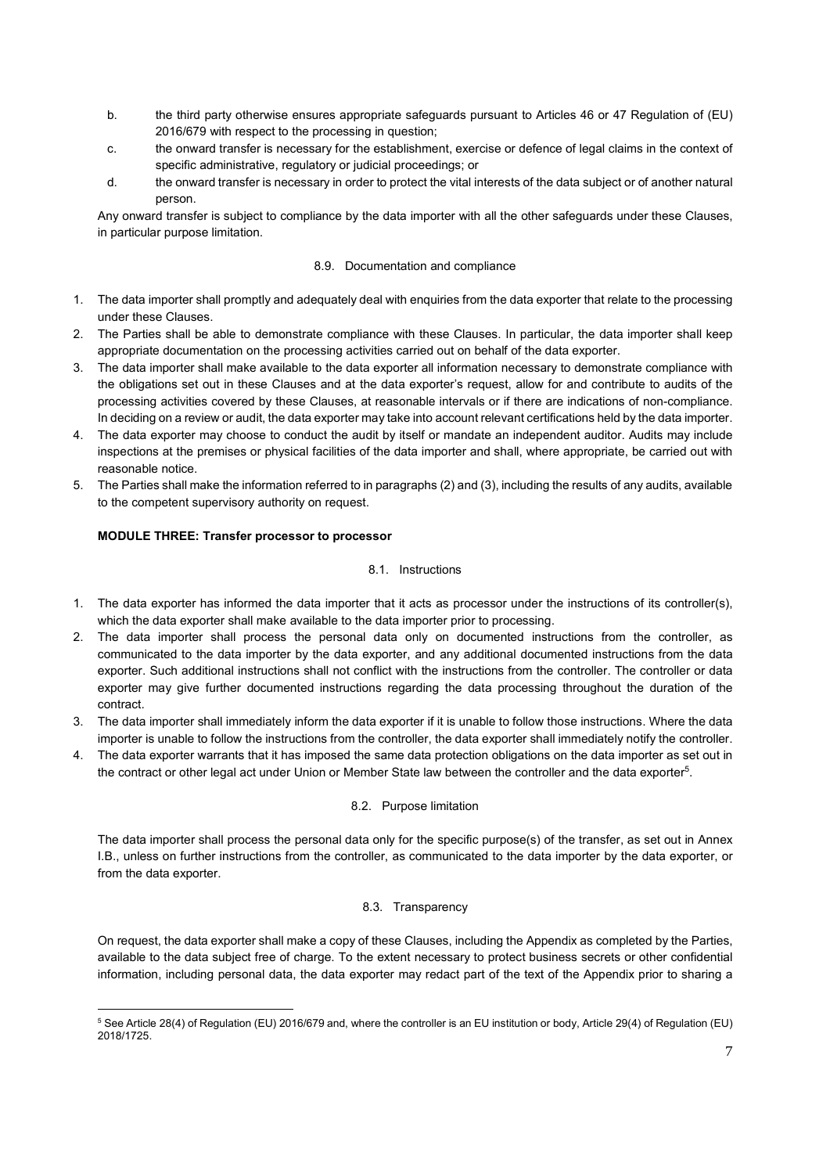- b. the third party otherwise ensures appropriate safeguards pursuant to Articles 46 or 47 Regulation of (EU) 2016/679 with respect to the processing in question;
- c. the onward transfer is necessary for the establishment, exercise or defence of legal claims in the context of specific administrative, regulatory or judicial proceedings; or
- d. the onward transfer is necessary in order to protect the vital interests of the data subject or of another natural person.

Any onward transfer is subject to compliance by the data importer with all the other safeguards under these Clauses, in particular purpose limitation.

### 8.9. Documentation and compliance

- 1. The data importer shall promptly and adequately deal with enquiries from the data exporter that relate to the processing under these Clauses.
- 2. The Parties shall be able to demonstrate compliance with these Clauses. In particular, the data importer shall keep appropriate documentation on the processing activities carried out on behalf of the data exporter.
- 3. The data importer shall make available to the data exporter all information necessary to demonstrate compliance with the obligations set out in these Clauses and at the data exporter's request, allow for and contribute to audits of the processing activities covered by these Clauses, at reasonable intervals or if there are indications of non-compliance. In deciding on a review or audit, the data exporter may take into account relevant certifications held by the data importer.
- 4. The data exporter may choose to conduct the audit by itself or mandate an independent auditor. Audits may include inspections at the premises or physical facilities of the data importer and shall, where appropriate, be carried out with reasonable notice.
- 5. The Parties shall make the information referred to in paragraphs (2) and (3), including the results of any audits, available to the competent supervisory authority on request.

# MODULE THREE: Transfer processor to processor

## 8.1. Instructions

- 1. The data exporter has informed the data importer that it acts as processor under the instructions of its controller(s), which the data exporter shall make available to the data importer prior to processing.
- 2. The data importer shall process the personal data only on documented instructions from the controller, as communicated to the data importer by the data exporter, and any additional documented instructions from the data exporter. Such additional instructions shall not conflict with the instructions from the controller. The controller or data exporter may give further documented instructions regarding the data processing throughout the duration of the contract.
- 3. The data importer shall immediately inform the data exporter if it is unable to follow those instructions. Where the data importer is unable to follow the instructions from the controller, the data exporter shall immediately notify the controller.
- 4. The data exporter warrants that it has imposed the same data protection obligations on the data importer as set out in the contract or other legal act under Union or Member State law between the controller and the data exporter<sup>5</sup> .

#### 8.2. Purpose limitation

The data importer shall process the personal data only for the specific purpose(s) of the transfer, as set out in Annex I.B., unless on further instructions from the controller, as communicated to the data importer by the data exporter, or from the data exporter.

#### 8.3. Transparency

On request, the data exporter shall make a copy of these Clauses, including the Appendix as completed by the Parties, available to the data subject free of charge. To the extent necessary to protect business secrets or other confidential information, including personal data, the data exporter may redact part of the text of the Appendix prior to sharing a

<sup>-</sup><sup>5</sup> See Article 28(4) of Regulation (EU) 2016/679 and, where the controller is an EU institution or body, Article 29(4) of Regulation (EU) 2018/1725.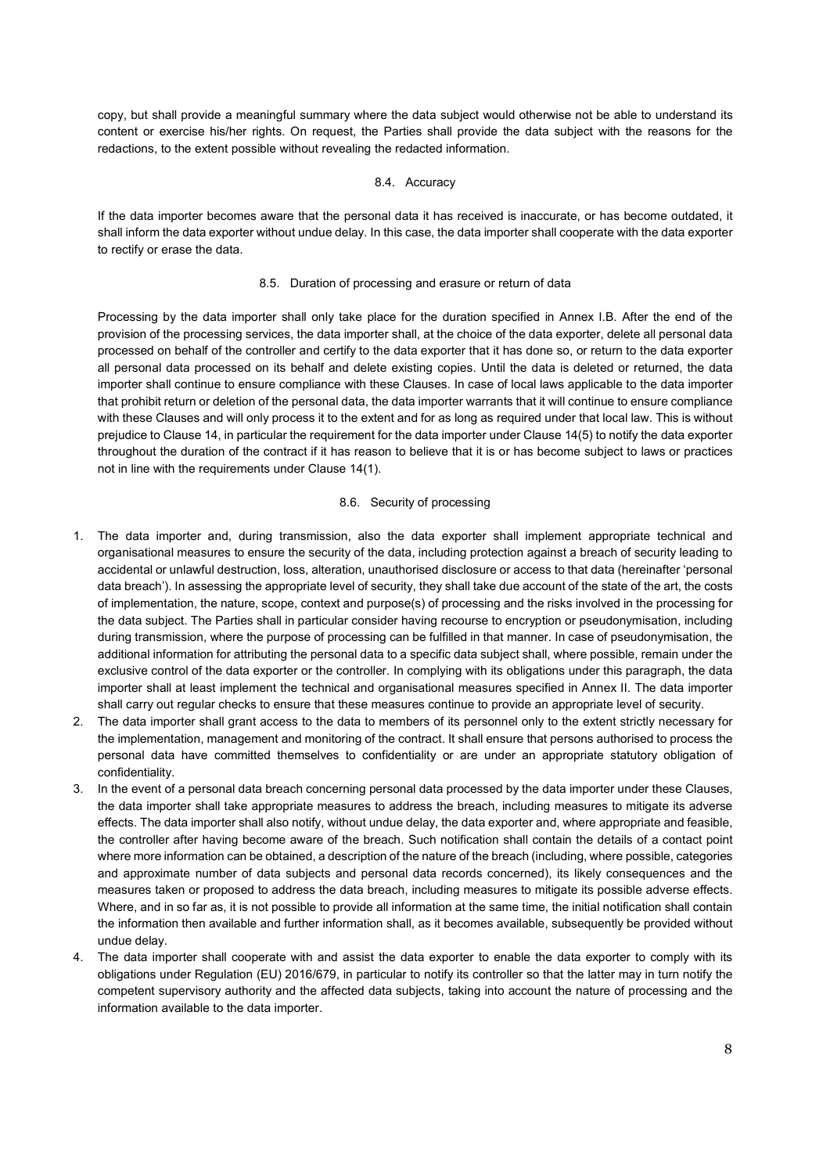copy, but shall provide a meaningful summary where the data subject would otherwise not be able to understand its content or exercise his/her rights. On request, the Parties shall provide the data subject with the reasons for the redactions, to the extent possible without revealing the redacted information.

# 8.4. Accuracy

If the data importer becomes aware that the personal data it has received is inaccurate, or has become outdated, it shall inform the data exporter without undue delay. In this case, the data importer shall cooperate with the data exporter to rectify or erase the data.

#### 8.5. Duration of processing and erasure or return of data

Processing by the data importer shall only take place for the duration specified in Annex I.B. After the end of the provision of the processing services, the data importer shall, at the choice of the data exporter, delete all personal data processed on behalf of the controller and certify to the data exporter that it has done so, or return to the data exporter all personal data processed on its behalf and delete existing copies. Until the data is deleted or returned, the data importer shall continue to ensure compliance with these Clauses. In case of local laws applicable to the data importer that prohibit return or deletion of the personal data, the data importer warrants that it will continue to ensure compliance with these Clauses and will only process it to the extent and for as long as required under that local law. This is without prejudice to Clause 14, in particular the requirement for the data importer under Clause 14(5) to notify the data exporter throughout the duration of the contract if it has reason to believe that it is or has become subject to laws or practices not in line with the requirements under Clause 14(1).

#### 8.6. Security of processing

- 1. The data importer and, during transmission, also the data exporter shall implement appropriate technical and organisational measures to ensure the security of the data, including protection against a breach of security leading to accidental or unlawful destruction, loss, alteration, unauthorised disclosure or access to that data (hereinafter 'personal data breach'). In assessing the appropriate level of security, they shall take due account of the state of the art, the costs of implementation, the nature, scope, context and purpose(s) of processing and the risks involved in the processing for the data subject. The Parties shall in particular consider having recourse to encryption or pseudonymisation, including during transmission, where the purpose of processing can be fulfilled in that manner. In case of pseudonymisation, the additional information for attributing the personal data to a specific data subject shall, where possible, remain under the exclusive control of the data exporter or the controller. In complying with its obligations under this paragraph, the data importer shall at least implement the technical and organisational measures specified in Annex II. The data importer shall carry out regular checks to ensure that these measures continue to provide an appropriate level of security.
- 2. The data importer shall grant access to the data to members of its personnel only to the extent strictly necessary for the implementation, management and monitoring of the contract. It shall ensure that persons authorised to process the personal data have committed themselves to confidentiality or are under an appropriate statutory obligation of confidentiality.
- 3. In the event of a personal data breach concerning personal data processed by the data importer under these Clauses, the data importer shall take appropriate measures to address the breach, including measures to mitigate its adverse effects. The data importer shall also notify, without undue delay, the data exporter and, where appropriate and feasible, the controller after having become aware of the breach. Such notification shall contain the details of a contact point where more information can be obtained, a description of the nature of the breach (including, where possible, categories and approximate number of data subjects and personal data records concerned), its likely consequences and the measures taken or proposed to address the data breach, including measures to mitigate its possible adverse effects. Where, and in so far as, it is not possible to provide all information at the same time, the initial notification shall contain the information then available and further information shall, as it becomes available, subsequently be provided without undue delay.
- 4. The data importer shall cooperate with and assist the data exporter to enable the data exporter to comply with its obligations under Regulation (EU) 2016/679, in particular to notify its controller so that the latter may in turn notify the competent supervisory authority and the affected data subjects, taking into account the nature of processing and the information available to the data importer.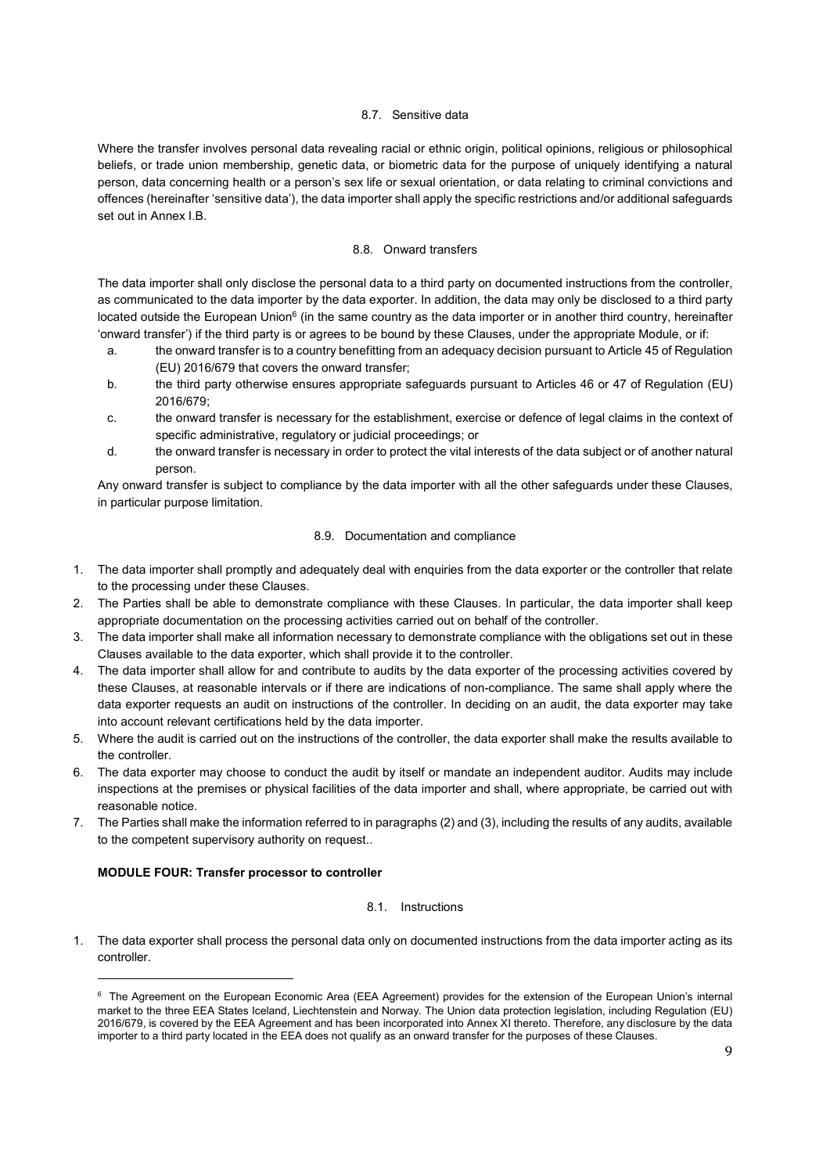#### 8.7. Sensitive data

Where the transfer involves personal data revealing racial or ethnic origin, political opinions, religious or philosophical beliefs, or trade union membership, genetic data, or biometric data for the purpose of uniquely identifying a natural person, data concerning health or a person's sex life or sexual orientation, or data relating to criminal convictions and offences (hereinafter 'sensitive data'), the data importer shall apply the specific restrictions and/or additional safeguards set out in Annex I.B.

#### 8.8. Onward transfers

The data importer shall only disclose the personal data to a third party on documented instructions from the controller, as communicated to the data importer by the data exporter. In addition, the data may only be disclosed to a third party located outside the European Union<sup>6</sup> (in the same country as the data importer or in another third country, hereinafter 'onward transfer') if the third party is or agrees to be bound by these Clauses, under the appropriate Module, or if:

- a. the onward transfer is to a country benefitting from an adequacy decision pursuant to Article 45 of Regulation (EU) 2016/679 that covers the onward transfer;
- b. the third party otherwise ensures appropriate safeguards pursuant to Articles 46 or 47 of Regulation (EU) 2016/679;
- c. the onward transfer is necessary for the establishment, exercise or defence of legal claims in the context of specific administrative, regulatory or judicial proceedings; or
- d. the onward transfer is necessary in order to protect the vital interests of the data subject or of another natural person.

Any onward transfer is subject to compliance by the data importer with all the other safeguards under these Clauses, in particular purpose limitation.

#### 8.9. Documentation and compliance

- 1. The data importer shall promptly and adequately deal with enquiries from the data exporter or the controller that relate to the processing under these Clauses.
- 2. The Parties shall be able to demonstrate compliance with these Clauses. In particular, the data importer shall keep appropriate documentation on the processing activities carried out on behalf of the controller.
- 3. The data importer shall make all information necessary to demonstrate compliance with the obligations set out in these Clauses available to the data exporter, which shall provide it to the controller.
- 4. The data importer shall allow for and contribute to audits by the data exporter of the processing activities covered by these Clauses, at reasonable intervals or if there are indications of non-compliance. The same shall apply where the data exporter requests an audit on instructions of the controller. In deciding on an audit, the data exporter may take into account relevant certifications held by the data importer.
- 5. Where the audit is carried out on the instructions of the controller, the data exporter shall make the results available to the controller.
- 6. The data exporter may choose to conduct the audit by itself or mandate an independent auditor. Audits may include inspections at the premises or physical facilities of the data importer and shall, where appropriate, be carried out with reasonable notice.
- 7. The Parties shall make the information referred to in paragraphs (2) and (3), including the results of any audits, available to the competent supervisory authority on request..

#### MODULE FOUR: Transfer processor to controller

-

#### 8.1. Instructions

1. The data exporter shall process the personal data only on documented instructions from the data importer acting as its controller.

<sup>&</sup>lt;sup>6</sup> The Agreement on the European Economic Area (EEA Agreement) provides for the extension of the European Union's internal market to the three EEA States Iceland, Liechtenstein and Norway. The Union data protection legislation, including Regulation (EU) 2016/679, is covered by the EEA Agreement and has been incorporated into Annex XI thereto. Therefore, any disclosure by the data importer to a third party located in the EEA does not qualify as an onward transfer for the purposes of these Clauses.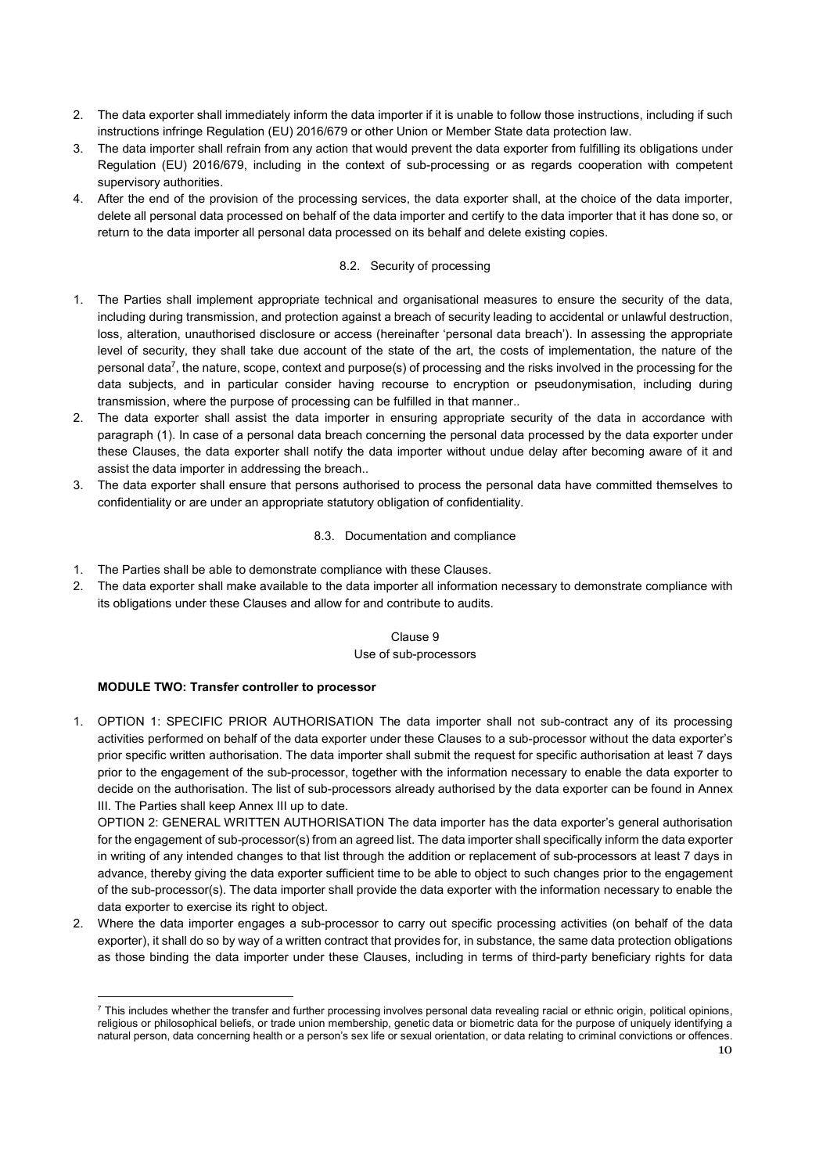- 2. The data exporter shall immediately inform the data importer if it is unable to follow those instructions, including if such instructions infringe Regulation (EU) 2016/679 or other Union or Member State data protection law.
- 3. The data importer shall refrain from any action that would prevent the data exporter from fulfilling its obligations under Regulation (EU) 2016/679, including in the context of sub-processing or as regards cooperation with competent supervisory authorities.
- 4. After the end of the provision of the processing services, the data exporter shall, at the choice of the data importer, delete all personal data processed on behalf of the data importer and certify to the data importer that it has done so, or return to the data importer all personal data processed on its behalf and delete existing copies.

# 8.2. Security of processing

- 1. The Parties shall implement appropriate technical and organisational measures to ensure the security of the data, including during transmission, and protection against a breach of security leading to accidental or unlawful destruction, loss, alteration, unauthorised disclosure or access (hereinafter 'personal data breach'). In assessing the appropriate level of security, they shall take due account of the state of the art, the costs of implementation, the nature of the personal data<sup>7</sup>, the nature, scope, context and purpose(s) of processing and the risks involved in the processing for the data subjects, and in particular consider having recourse to encryption or pseudonymisation, including during transmission, where the purpose of processing can be fulfilled in that manner..
- 2. The data exporter shall assist the data importer in ensuring appropriate security of the data in accordance with paragraph (1). In case of a personal data breach concerning the personal data processed by the data exporter under these Clauses, the data exporter shall notify the data importer without undue delay after becoming aware of it and assist the data importer in addressing the breach..
- 3. The data exporter shall ensure that persons authorised to process the personal data have committed themselves to confidentiality or are under an appropriate statutory obligation of confidentiality.

#### 8.3. Documentation and compliance

- 1. The Parties shall be able to demonstrate compliance with these Clauses.
- 2. The data exporter shall make available to the data importer all information necessary to demonstrate compliance with its obligations under these Clauses and allow for and contribute to audits.

# Clause 9 Use of sub-processors

# MODULE TWO: Transfer controller to processor

1. OPTION 1: SPECIFIC PRIOR AUTHORISATION The data importer shall not sub-contract any of its processing activities performed on behalf of the data exporter under these Clauses to a sub-processor without the data exporter's prior specific written authorisation. The data importer shall submit the request for specific authorisation at least 7 days prior to the engagement of the sub-processor, together with the information necessary to enable the data exporter to decide on the authorisation. The list of sub-processors already authorised by the data exporter can be found in Annex III. The Parties shall keep Annex III up to date.

OPTION 2: GENERAL WRITTEN AUTHORISATION The data importer has the data exporter's general authorisation for the engagement of sub-processor(s) from an agreed list. The data importer shall specifically inform the data exporter in writing of any intended changes to that list through the addition or replacement of sub-processors at least 7 days in advance, thereby giving the data exporter sufficient time to be able to object to such changes prior to the engagement of the sub-processor(s). The data importer shall provide the data exporter with the information necessary to enable the data exporter to exercise its right to object.

2. Where the data importer engages a sub-processor to carry out specific processing activities (on behalf of the data exporter), it shall do so by way of a written contract that provides for, in substance, the same data protection obligations as those binding the data importer under these Clauses, including in terms of third-party beneficiary rights for data

<sup>-</sup> $^7$  This includes whether the transfer and further processing involves personal data revealing racial or ethnic origin, political opinions, religious or philosophical beliefs, or trade union membership, genetic data or biometric data for the purpose of uniquely identifying a natural person, data concerning health or a person's sex life or sexual orientation, or data relating to criminal convictions or offences.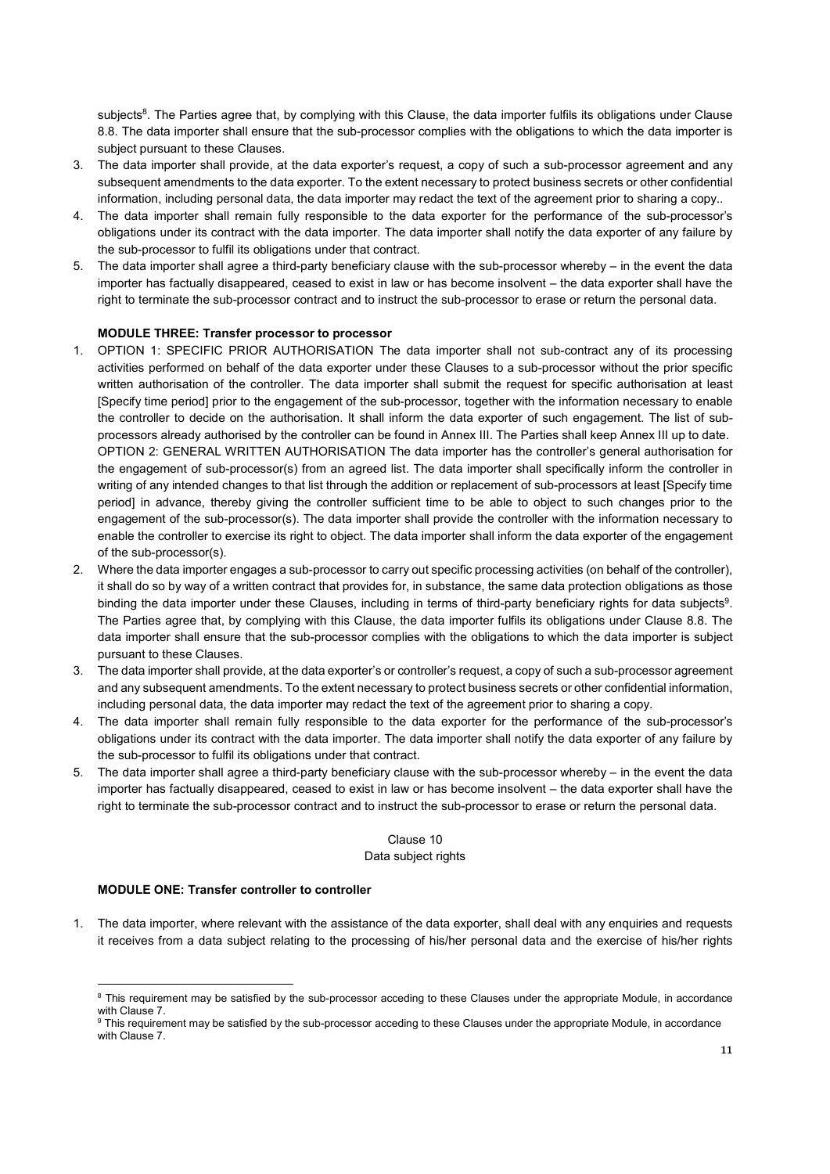subjects<sup>8</sup>. The Parties agree that, by complying with this Clause, the data importer fulfils its obligations under Clause 8.8. The data importer shall ensure that the sub-processor complies with the obligations to which the data importer is subject pursuant to these Clauses.

- 3. The data importer shall provide, at the data exporter's request, a copy of such a sub-processor agreement and any subsequent amendments to the data exporter. To the extent necessary to protect business secrets or other confidential information, including personal data, the data importer may redact the text of the agreement prior to sharing a copy..
- 4. The data importer shall remain fully responsible to the data exporter for the performance of the sub-processor's obligations under its contract with the data importer. The data importer shall notify the data exporter of any failure by the sub-processor to fulfil its obligations under that contract.
- 5. The data importer shall agree a third-party beneficiary clause with the sub-processor whereby in the event the data importer has factually disappeared, ceased to exist in law or has become insolvent – the data exporter shall have the right to terminate the sub-processor contract and to instruct the sub-processor to erase or return the personal data.

#### MODULE THREE: Transfer processor to processor

- 1. OPTION 1: SPECIFIC PRIOR AUTHORISATION The data importer shall not sub-contract any of its processing activities performed on behalf of the data exporter under these Clauses to a sub-processor without the prior specific written authorisation of the controller. The data importer shall submit the request for specific authorisation at least [Specify time period] prior to the engagement of the sub-processor, together with the information necessary to enable the controller to decide on the authorisation. It shall inform the data exporter of such engagement. The list of subprocessors already authorised by the controller can be found in Annex III. The Parties shall keep Annex III up to date. OPTION 2: GENERAL WRITTEN AUTHORISATION The data importer has the controller's general authorisation for the engagement of sub-processor(s) from an agreed list. The data importer shall specifically inform the controller in writing of any intended changes to that list through the addition or replacement of sub-processors at least [Specify time period] in advance, thereby giving the controller sufficient time to be able to object to such changes prior to the engagement of the sub-processor(s). The data importer shall provide the controller with the information necessary to enable the controller to exercise its right to object. The data importer shall inform the data exporter of the engagement of the sub-processor(s).
- 2. Where the data importer engages a sub-processor to carry out specific processing activities (on behalf of the controller), it shall do so by way of a written contract that provides for, in substance, the same data protection obligations as those binding the data importer under these Clauses, including in terms of third-party beneficiary rights for data subjects<sup>9</sup>. The Parties agree that, by complying with this Clause, the data importer fulfils its obligations under Clause 8.8. The data importer shall ensure that the sub-processor complies with the obligations to which the data importer is subject pursuant to these Clauses.
- 3. The data importer shall provide, at the data exporter's or controller's request, a copy of such a sub-processor agreement and any subsequent amendments. To the extent necessary to protect business secrets or other confidential information, including personal data, the data importer may redact the text of the agreement prior to sharing a copy.
- 4. The data importer shall remain fully responsible to the data exporter for the performance of the sub-processor's obligations under its contract with the data importer. The data importer shall notify the data exporter of any failure by the sub-processor to fulfil its obligations under that contract.
- 5. The data importer shall agree a third-party beneficiary clause with the sub-processor whereby in the event the data importer has factually disappeared, ceased to exist in law or has become insolvent – the data exporter shall have the right to terminate the sub-processor contract and to instruct the sub-processor to erase or return the personal data.

#### Clause 10

#### Data subject rights

#### MODULE ONE: Transfer controller to controller

-

1. The data importer, where relevant with the assistance of the data exporter, shall deal with any enquiries and requests it receives from a data subject relating to the processing of his/her personal data and the exercise of his/her rights

<sup>&</sup>lt;sup>8</sup> This requirement may be satisfied by the sub-processor acceding to these Clauses under the appropriate Module, in accordance with Clause 7.

<sup>&</sup>lt;sup>9</sup> This requirement may be satisfied by the sub-processor acceding to these Clauses under the appropriate Module, in accordance with Clause 7.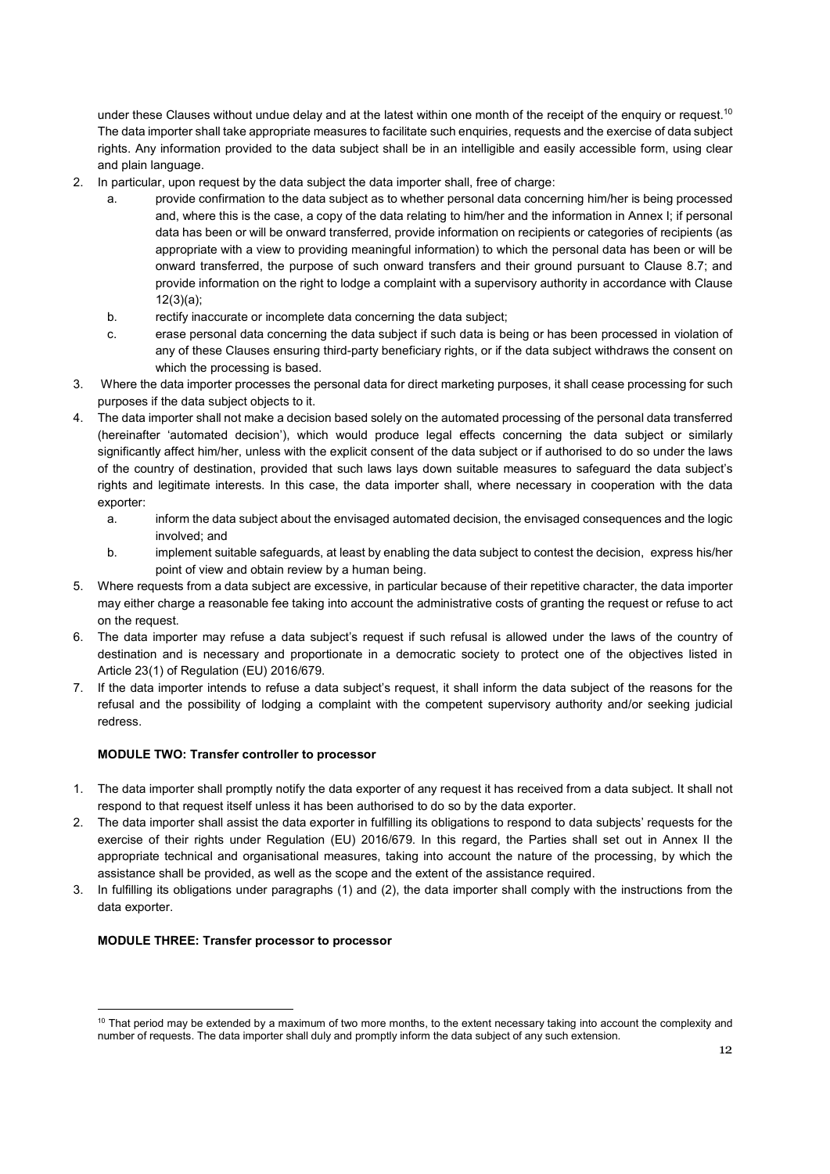under these Clauses without undue delay and at the latest within one month of the receipt of the enquiry or request.<sup>10</sup> The data importer shall take appropriate measures to facilitate such enquiries, requests and the exercise of data subject rights. Any information provided to the data subject shall be in an intelligible and easily accessible form, using clear and plain language.

- 2. In particular, upon request by the data subject the data importer shall, free of charge:
	- a. provide confirmation to the data subject as to whether personal data concerning him/her is being processed and, where this is the case, a copy of the data relating to him/her and the information in Annex I; if personal data has been or will be onward transferred, provide information on recipients or categories of recipients (as appropriate with a view to providing meaningful information) to which the personal data has been or will be onward transferred, the purpose of such onward transfers and their ground pursuant to Clause 8.7; and provide information on the right to lodge a complaint with a supervisory authority in accordance with Clause 12(3)(a);
	- b. rectify inaccurate or incomplete data concerning the data subject;
	- c. erase personal data concerning the data subject if such data is being or has been processed in violation of any of these Clauses ensuring third-party beneficiary rights, or if the data subject withdraws the consent on which the processing is based.
- 3. Where the data importer processes the personal data for direct marketing purposes, it shall cease processing for such purposes if the data subject objects to it.
- 4. The data importer shall not make a decision based solely on the automated processing of the personal data transferred (hereinafter 'automated decision'), which would produce legal effects concerning the data subject or similarly significantly affect him/her, unless with the explicit consent of the data subject or if authorised to do so under the laws of the country of destination, provided that such laws lays down suitable measures to safeguard the data subject's rights and legitimate interests. In this case, the data importer shall, where necessary in cooperation with the data exporter:
	- a. inform the data subject about the envisaged automated decision, the envisaged consequences and the logic involved; and
	- b. implement suitable safeguards, at least by enabling the data subject to contest the decision, express his/her point of view and obtain review by a human being.
- 5. Where requests from a data subject are excessive, in particular because of their repetitive character, the data importer may either charge a reasonable fee taking into account the administrative costs of granting the request or refuse to act on the request.
- 6. The data importer may refuse a data subject's request if such refusal is allowed under the laws of the country of destination and is necessary and proportionate in a democratic society to protect one of the objectives listed in Article 23(1) of Regulation (EU) 2016/679.
- 7. If the data importer intends to refuse a data subject's request, it shall inform the data subject of the reasons for the refusal and the possibility of lodging a complaint with the competent supervisory authority and/or seeking judicial redress.

# MODULE TWO: Transfer controller to processor

- 1. The data importer shall promptly notify the data exporter of any request it has received from a data subject. It shall not respond to that request itself unless it has been authorised to do so by the data exporter.
- 2. The data importer shall assist the data exporter in fulfilling its obligations to respond to data subjects' requests for the exercise of their rights under Regulation (EU) 2016/679. In this regard, the Parties shall set out in Annex II the appropriate technical and organisational measures, taking into account the nature of the processing, by which the assistance shall be provided, as well as the scope and the extent of the assistance required.
- 3. In fulfilling its obligations under paragraphs (1) and (2), the data importer shall comply with the instructions from the data exporter.

# MODULE THREE: Transfer processor to processor

<sup>-</sup> $10$  That period may be extended by a maximum of two more months, to the extent necessary taking into account the complexity and number of requests. The data importer shall duly and promptly inform the data subject of any such extension.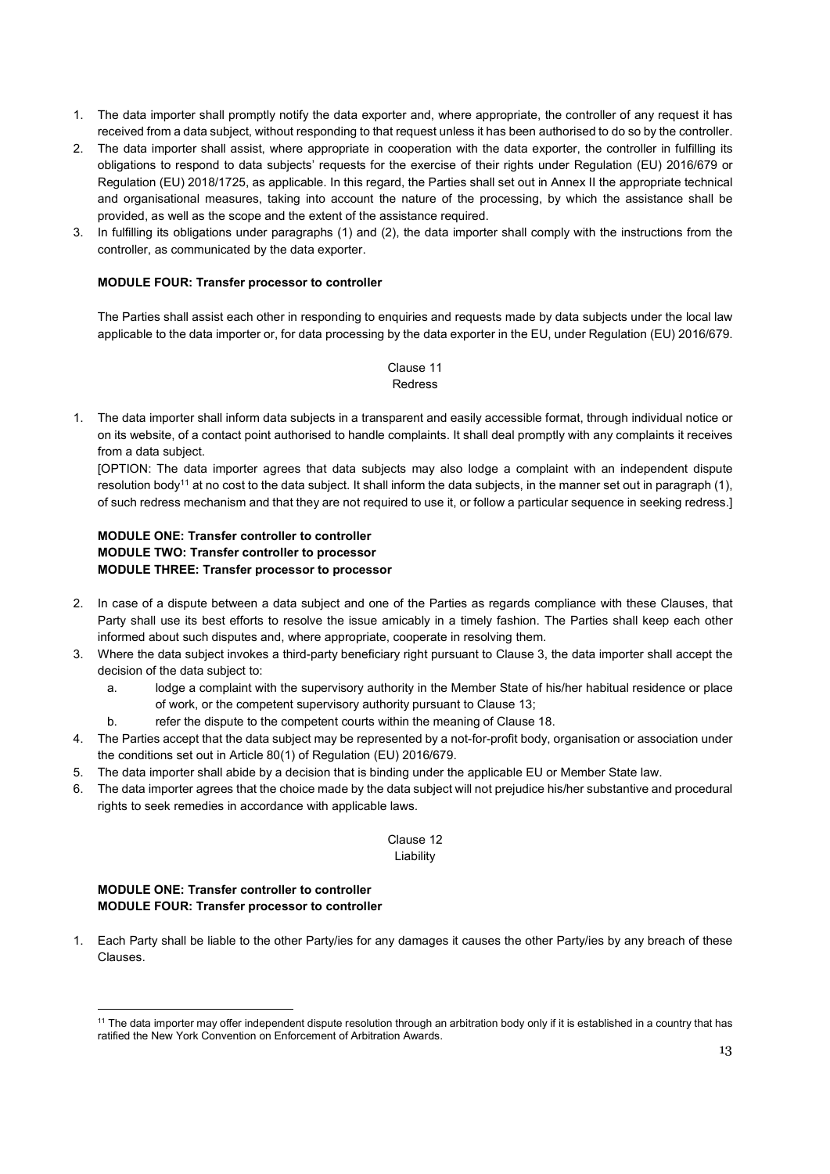- 1. The data importer shall promptly notify the data exporter and, where appropriate, the controller of any request it has received from a data subject, without responding to that request unless it has been authorised to do so by the controller.
- 2. The data importer shall assist, where appropriate in cooperation with the data exporter, the controller in fulfilling its obligations to respond to data subjects' requests for the exercise of their rights under Regulation (EU) 2016/679 or Regulation (EU) 2018/1725, as applicable. In this regard, the Parties shall set out in Annex II the appropriate technical and organisational measures, taking into account the nature of the processing, by which the assistance shall be provided, as well as the scope and the extent of the assistance required.
- 3. In fulfilling its obligations under paragraphs (1) and (2), the data importer shall comply with the instructions from the controller, as communicated by the data exporter.

# MODULE FOUR: Transfer processor to controller

The Parties shall assist each other in responding to enquiries and requests made by data subjects under the local law applicable to the data importer or, for data processing by the data exporter in the EU, under Regulation (EU) 2016/679.

# Clause 11 Redress

1. The data importer shall inform data subjects in a transparent and easily accessible format, through individual notice or on its website, of a contact point authorised to handle complaints. It shall deal promptly with any complaints it receives from a data subject.

[OPTION: The data importer agrees that data subjects may also lodge a complaint with an independent dispute resolution body<sup>11</sup> at no cost to the data subject. It shall inform the data subjects, in the manner set out in paragraph  $(1)$ , of such redress mechanism and that they are not required to use it, or follow a particular sequence in seeking redress.]

# MODULE ONE: Transfer controller to controller MODULE TWO: Transfer controller to processor MODULE THREE: Transfer processor to processor

- 2. In case of a dispute between a data subject and one of the Parties as regards compliance with these Clauses, that Party shall use its best efforts to resolve the issue amicably in a timely fashion. The Parties shall keep each other informed about such disputes and, where appropriate, cooperate in resolving them.
- 3. Where the data subject invokes a third-party beneficiary right pursuant to Clause 3, the data importer shall accept the decision of the data subject to:
	- a. lodge a complaint with the supervisory authority in the Member State of his/her habitual residence or place of work, or the competent supervisory authority pursuant to Clause 13;
	- b. refer the dispute to the competent courts within the meaning of Clause 18.
- 4. The Parties accept that the data subject may be represented by a not-for-profit body, organisation or association under the conditions set out in Article 80(1) of Regulation (EU) 2016/679.
- 5. The data importer shall abide by a decision that is binding under the applicable EU or Member State law.
- 6. The data importer agrees that the choice made by the data subject will not prejudice his/her substantive and procedural rights to seek remedies in accordance with applicable laws.

# Clause 12 Liability

# MODULE ONE: Transfer controller to controller MODULE FOUR: Transfer processor to controller

-

1. Each Party shall be liable to the other Party/ies for any damages it causes the other Party/ies by any breach of these Clauses.

<sup>&</sup>lt;sup>11</sup> The data importer may offer independent dispute resolution through an arbitration body only if it is established in a country that has ratified the New York Convention on Enforcement of Arbitration Awards.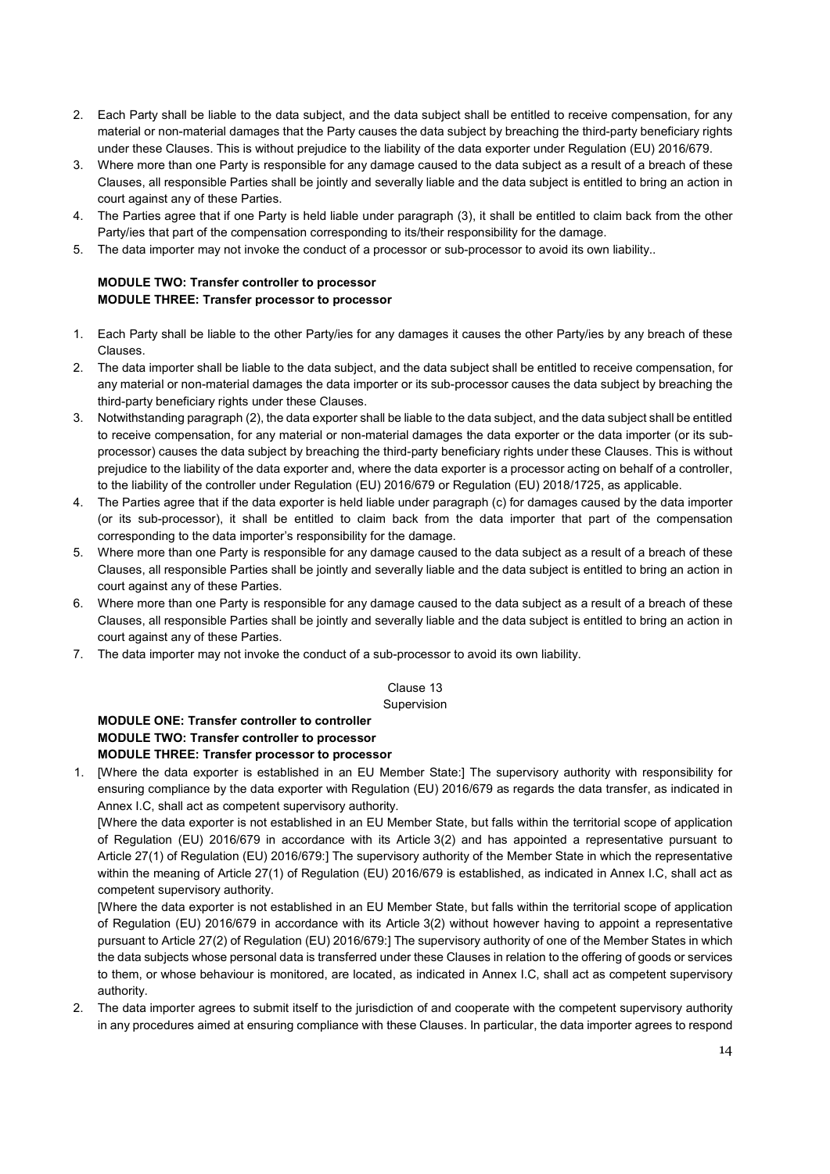- 2. Each Party shall be liable to the data subject, and the data subject shall be entitled to receive compensation, for any material or non-material damages that the Party causes the data subject by breaching the third-party beneficiary rights under these Clauses. This is without prejudice to the liability of the data exporter under Regulation (EU) 2016/679.
- 3. Where more than one Party is responsible for any damage caused to the data subject as a result of a breach of these Clauses, all responsible Parties shall be jointly and severally liable and the data subject is entitled to bring an action in court against any of these Parties.
- 4. The Parties agree that if one Party is held liable under paragraph (3), it shall be entitled to claim back from the other Party/ies that part of the compensation corresponding to its/their responsibility for the damage.
- 5. The data importer may not invoke the conduct of a processor or sub-processor to avoid its own liability..

# MODULE TWO: Transfer controller to processor MODULE THREE: Transfer processor to processor

- 1. Each Party shall be liable to the other Party/ies for any damages it causes the other Party/ies by any breach of these Clauses.
- 2. The data importer shall be liable to the data subject, and the data subject shall be entitled to receive compensation, for any material or non-material damages the data importer or its sub-processor causes the data subject by breaching the third-party beneficiary rights under these Clauses.
- 3. Notwithstanding paragraph (2), the data exporter shall be liable to the data subject, and the data subject shall be entitled to receive compensation, for any material or non-material damages the data exporter or the data importer (or its subprocessor) causes the data subject by breaching the third-party beneficiary rights under these Clauses. This is without prejudice to the liability of the data exporter and, where the data exporter is a processor acting on behalf of a controller, to the liability of the controller under Regulation (EU) 2016/679 or Regulation (EU) 2018/1725, as applicable.
- 4. The Parties agree that if the data exporter is held liable under paragraph (c) for damages caused by the data importer (or its sub-processor), it shall be entitled to claim back from the data importer that part of the compensation corresponding to the data importer's responsibility for the damage.
- 5. Where more than one Party is responsible for any damage caused to the data subject as a result of a breach of these Clauses, all responsible Parties shall be jointly and severally liable and the data subject is entitled to bring an action in court against any of these Parties.
- 6. Where more than one Party is responsible for any damage caused to the data subject as a result of a breach of these Clauses, all responsible Parties shall be jointly and severally liable and the data subject is entitled to bring an action in court against any of these Parties.
- 7. The data importer may not invoke the conduct of a sub-processor to avoid its own liability.

Clause 13

Supervision

# MODULE ONE: Transfer controller to controller MODULE TWO: Transfer controller to processor MODULE THREE: Transfer processor to processor

1. [Where the data exporter is established in an EU Member State:] The supervisory authority with responsibility for ensuring compliance by the data exporter with Regulation (EU) 2016/679 as regards the data transfer, as indicated in Annex I.C, shall act as competent supervisory authority.

[Where the data exporter is not established in an EU Member State, but falls within the territorial scope of application of Regulation (EU) 2016/679 in accordance with its Article 3(2) and has appointed a representative pursuant to Article 27(1) of Regulation (EU) 2016/679:] The supervisory authority of the Member State in which the representative within the meaning of Article 27(1) of Regulation (EU) 2016/679 is established, as indicated in Annex I.C, shall act as competent supervisory authority.

[Where the data exporter is not established in an EU Member State, but falls within the territorial scope of application of Regulation (EU) 2016/679 in accordance with its Article 3(2) without however having to appoint a representative pursuant to Article 27(2) of Regulation (EU) 2016/679:] The supervisory authority of one of the Member States in which the data subjects whose personal data is transferred under these Clauses in relation to the offering of goods or services to them, or whose behaviour is monitored, are located, as indicated in Annex I.C, shall act as competent supervisory authority.

2. The data importer agrees to submit itself to the jurisdiction of and cooperate with the competent supervisory authority in any procedures aimed at ensuring compliance with these Clauses. In particular, the data importer agrees to respond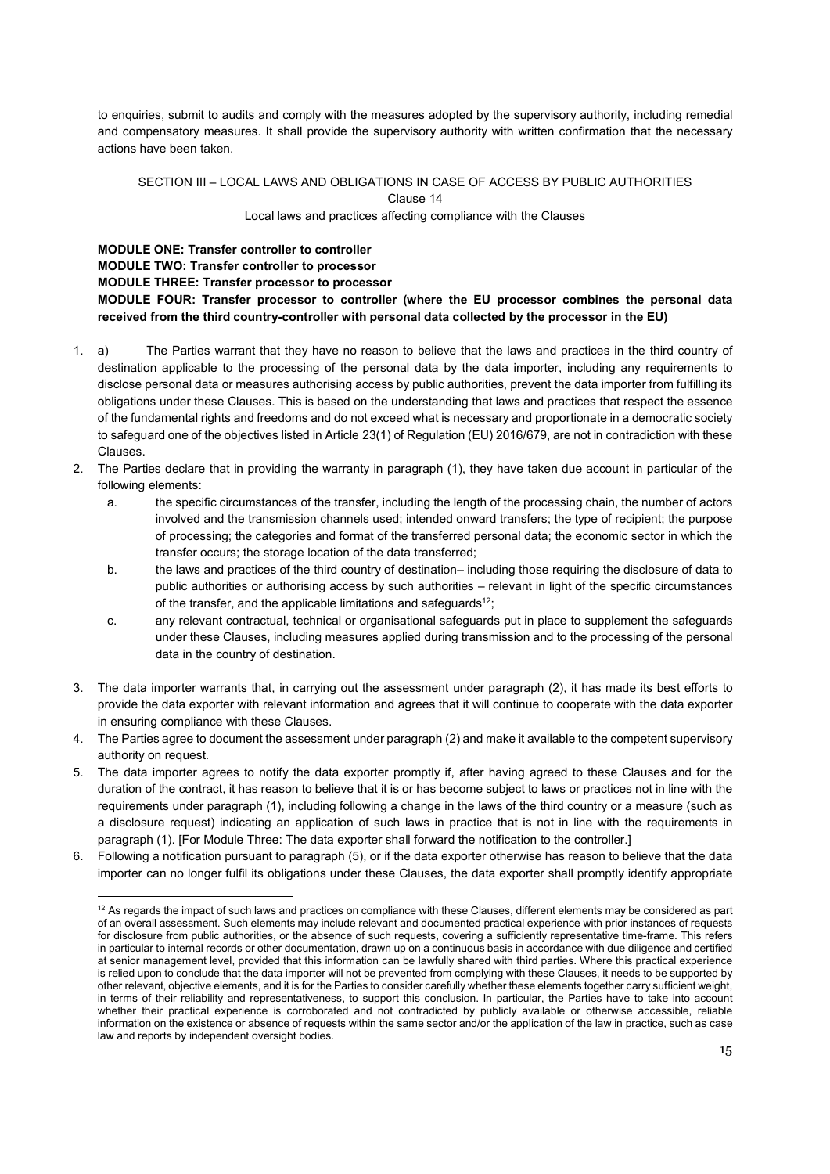to enquiries, submit to audits and comply with the measures adopted by the supervisory authority, including remedial and compensatory measures. It shall provide the supervisory authority with written confirmation that the necessary actions have been taken.

# SECTION III – LOCAL LAWS AND OBLIGATIONS IN CASE OF ACCESS BY PUBLIC AUTHORITIES Clause 14 Local laws and practices affecting compliance with the Clauses

MODULE ONE: Transfer controller to controller MODULE TWO: Transfer controller to processor MODULE THREE: Transfer processor to processor MODULE FOUR: Transfer processor to controller (where the EU processor combines the personal data received from the third country-controller with personal data collected by the processor in the EU)

- 1. a) The Parties warrant that they have no reason to believe that the laws and practices in the third country of destination applicable to the processing of the personal data by the data importer, including any requirements to disclose personal data or measures authorising access by public authorities, prevent the data importer from fulfilling its obligations under these Clauses. This is based on the understanding that laws and practices that respect the essence of the fundamental rights and freedoms and do not exceed what is necessary and proportionate in a democratic society to safeguard one of the objectives listed in Article 23(1) of Regulation (EU) 2016/679, are not in contradiction with these Clauses.
- 2. The Parties declare that in providing the warranty in paragraph (1), they have taken due account in particular of the following elements:
	- a. the specific circumstances of the transfer, including the length of the processing chain, the number of actors involved and the transmission channels used; intended onward transfers; the type of recipient; the purpose of processing; the categories and format of the transferred personal data; the economic sector in which the transfer occurs; the storage location of the data transferred;
	- b. the laws and practices of the third country of destination– including those requiring the disclosure of data to public authorities or authorising access by such authorities – relevant in light of the specific circumstances of the transfer, and the applicable limitations and safeguards $12$ ;
	- c. any relevant contractual, technical or organisational safeguards put in place to supplement the safeguards under these Clauses, including measures applied during transmission and to the processing of the personal data in the country of destination.
- 3. The data importer warrants that, in carrying out the assessment under paragraph (2), it has made its best efforts to provide the data exporter with relevant information and agrees that it will continue to cooperate with the data exporter in ensuring compliance with these Clauses.
- 4. The Parties agree to document the assessment under paragraph (2) and make it available to the competent supervisory authority on request.
- 5. The data importer agrees to notify the data exporter promptly if, after having agreed to these Clauses and for the duration of the contract, it has reason to believe that it is or has become subject to laws or practices not in line with the requirements under paragraph (1), including following a change in the laws of the third country or a measure (such as a disclosure request) indicating an application of such laws in practice that is not in line with the requirements in paragraph (1). [For Module Three: The data exporter shall forward the notification to the controller.]
- 6. Following a notification pursuant to paragraph (5), or if the data exporter otherwise has reason to believe that the data importer can no longer fulfil its obligations under these Clauses, the data exporter shall promptly identify appropriate

-

 $12$  As regards the impact of such laws and practices on compliance with these Clauses, different elements may be considered as part of an overall assessment. Such elements may include relevant and documented practical experience with prior instances of requests for disclosure from public authorities, or the absence of such requests, covering a sufficiently representative time-frame. This refers in particular to internal records or other documentation, drawn up on a continuous basis in accordance with due diligence and certified at senior management level, provided that this information can be lawfully shared with third parties. Where this practical experience is relied upon to conclude that the data importer will not be prevented from complying with these Clauses, it needs to be supported by other relevant, objective elements, and it is for the Parties to consider carefully whether these elements together carry sufficient weight, in terms of their reliability and representativeness, to support this conclusion. In particular, the Parties have to take into account whether their practical experience is corroborated and not contradicted by publicly available or otherwise accessible, reliable information on the existence or absence of requests within the same sector and/or the application of the law in practice, such as case law and reports by independent oversight bodies.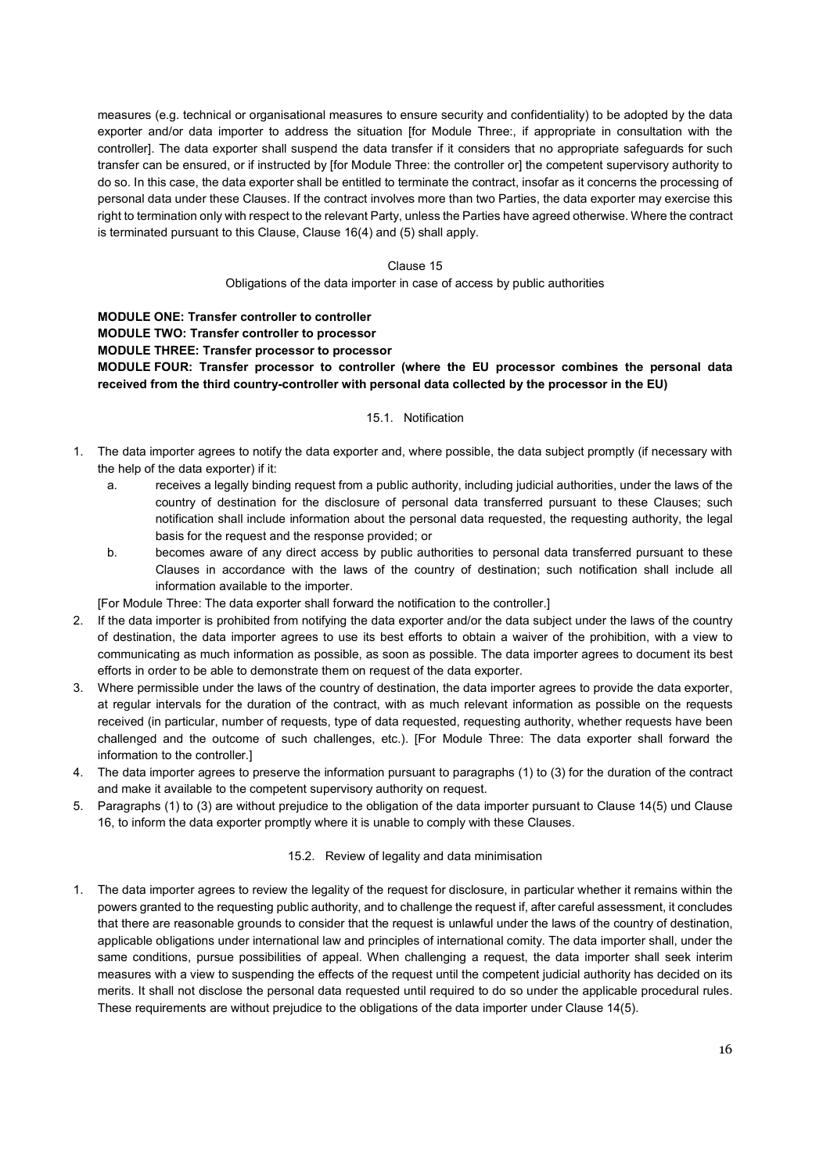measures (e.g. technical or organisational measures to ensure security and confidentiality) to be adopted by the data exporter and/or data importer to address the situation [for Module Three:, if appropriate in consultation with the controller]. The data exporter shall suspend the data transfer if it considers that no appropriate safeguards for such transfer can be ensured, or if instructed by [for Module Three: the controller or] the competent supervisory authority to do so. In this case, the data exporter shall be entitled to terminate the contract, insofar as it concerns the processing of personal data under these Clauses. If the contract involves more than two Parties, the data exporter may exercise this right to termination only with respect to the relevant Party, unless the Parties have agreed otherwise. Where the contract is terminated pursuant to this Clause, Clause 16(4) and (5) shall apply.

#### Clause 15

Obligations of the data importer in case of access by public authorities

# MODULE ONE: Transfer controller to controller MODULE TWO: Transfer controller to processor MODULE THREE: Transfer processor to processor MODULE FOUR: Transfer processor to controller (where the EU processor combines the personal data received from the third country-controller with personal data collected by the processor in the EU)

#### 15.1. Notification

- 1. The data importer agrees to notify the data exporter and, where possible, the data subject promptly (if necessary with the help of the data exporter) if it:
	- a. receives a legally binding request from a public authority, including judicial authorities, under the laws of the country of destination for the disclosure of personal data transferred pursuant to these Clauses; such notification shall include information about the personal data requested, the requesting authority, the legal basis for the request and the response provided; or
	- b. becomes aware of any direct access by public authorities to personal data transferred pursuant to these Clauses in accordance with the laws of the country of destination; such notification shall include all information available to the importer.

[For Module Three: The data exporter shall forward the notification to the controller.]

- 2. If the data importer is prohibited from notifying the data exporter and/or the data subject under the laws of the country of destination, the data importer agrees to use its best efforts to obtain a waiver of the prohibition, with a view to communicating as much information as possible, as soon as possible. The data importer agrees to document its best efforts in order to be able to demonstrate them on request of the data exporter.
- 3. Where permissible under the laws of the country of destination, the data importer agrees to provide the data exporter, at regular intervals for the duration of the contract, with as much relevant information as possible on the requests received (in particular, number of requests, type of data requested, requesting authority, whether requests have been challenged and the outcome of such challenges, etc.). [For Module Three: The data exporter shall forward the information to the controller.]
- 4. The data importer agrees to preserve the information pursuant to paragraphs (1) to (3) for the duration of the contract and make it available to the competent supervisory authority on request.
- 5. Paragraphs (1) to (3) are without prejudice to the obligation of the data importer pursuant to Clause 14(5) und Clause 16, to inform the data exporter promptly where it is unable to comply with these Clauses.

#### 15.2. Review of legality and data minimisation

1. The data importer agrees to review the legality of the request for disclosure, in particular whether it remains within the powers granted to the requesting public authority, and to challenge the request if, after careful assessment, it concludes that there are reasonable grounds to consider that the request is unlawful under the laws of the country of destination, applicable obligations under international law and principles of international comity. The data importer shall, under the same conditions, pursue possibilities of appeal. When challenging a request, the data importer shall seek interim measures with a view to suspending the effects of the request until the competent judicial authority has decided on its merits. It shall not disclose the personal data requested until required to do so under the applicable procedural rules. These requirements are without prejudice to the obligations of the data importer under Clause 14(5).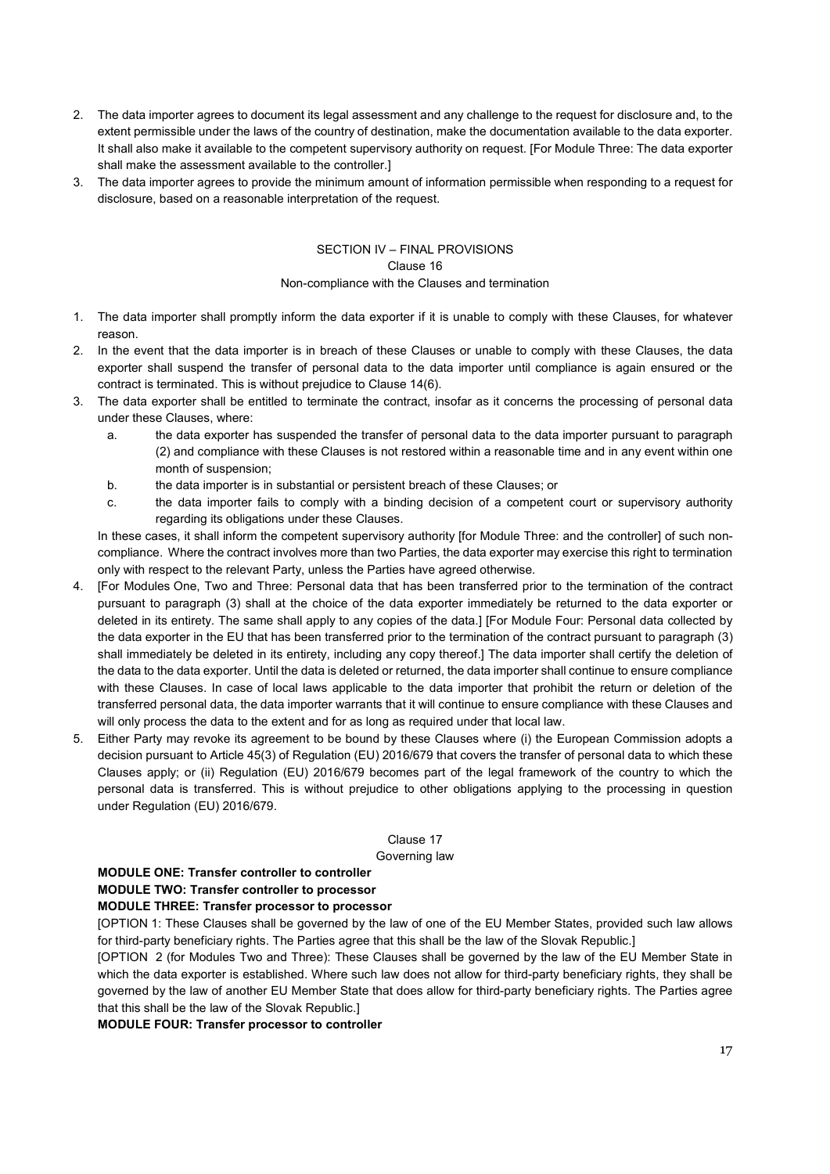- 2. The data importer agrees to document its legal assessment and any challenge to the request for disclosure and, to the extent permissible under the laws of the country of destination, make the documentation available to the data exporter. It shall also make it available to the competent supervisory authority on request. [For Module Three: The data exporter shall make the assessment available to the controller.]
- 3. The data importer agrees to provide the minimum amount of information permissible when responding to a request for disclosure, based on a reasonable interpretation of the request.

# SECTION IV – FINAL PROVISIONS Clause 16 Non-compliance with the Clauses and termination

- 1. The data importer shall promptly inform the data exporter if it is unable to comply with these Clauses, for whatever reason.
- 2. In the event that the data importer is in breach of these Clauses or unable to comply with these Clauses, the data exporter shall suspend the transfer of personal data to the data importer until compliance is again ensured or the contract is terminated. This is without prejudice to Clause 14(6).
- 3. The data exporter shall be entitled to terminate the contract, insofar as it concerns the processing of personal data under these Clauses, where:
	- a. the data exporter has suspended the transfer of personal data to the data importer pursuant to paragraph (2) and compliance with these Clauses is not restored within a reasonable time and in any event within one month of suspension;
	- b. the data importer is in substantial or persistent breach of these Clauses; or
	- c. the data importer fails to comply with a binding decision of a competent court or supervisory authority regarding its obligations under these Clauses.

In these cases, it shall inform the competent supervisory authority [for Module Three: and the controller] of such noncompliance. Where the contract involves more than two Parties, the data exporter may exercise this right to termination only with respect to the relevant Party, unless the Parties have agreed otherwise.

- 4. [For Modules One, Two and Three: Personal data that has been transferred prior to the termination of the contract pursuant to paragraph (3) shall at the choice of the data exporter immediately be returned to the data exporter or deleted in its entirety. The same shall apply to any copies of the data.] [For Module Four: Personal data collected by the data exporter in the EU that has been transferred prior to the termination of the contract pursuant to paragraph (3) shall immediately be deleted in its entirety, including any copy thereof.] The data importer shall certify the deletion of the data to the data exporter. Until the data is deleted or returned, the data importer shall continue to ensure compliance with these Clauses. In case of local laws applicable to the data importer that prohibit the return or deletion of the transferred personal data, the data importer warrants that it will continue to ensure compliance with these Clauses and will only process the data to the extent and for as long as required under that local law.
- 5. Either Party may revoke its agreement to be bound by these Clauses where (i) the European Commission adopts a decision pursuant to Article 45(3) of Regulation (EU) 2016/679 that covers the transfer of personal data to which these Clauses apply; or (ii) Regulation (EU) 2016/679 becomes part of the legal framework of the country to which the personal data is transferred. This is without prejudice to other obligations applying to the processing in question under Regulation (EU) 2016/679.

#### Clause 17

#### Governing law

# MODULE ONE: Transfer controller to controller

# MODULE TWO: Transfer controller to processor

# MODULE THREE: Transfer processor to processor

[OPTION 1: These Clauses shall be governed by the law of one of the EU Member States, provided such law allows for third-party beneficiary rights. The Parties agree that this shall be the law of the Slovak Republic.]

[OPTION 2 (for Modules Two and Three): These Clauses shall be governed by the law of the EU Member State in which the data exporter is established. Where such law does not allow for third-party beneficiary rights, they shall be governed by the law of another EU Member State that does allow for third-party beneficiary rights. The Parties agree that this shall be the law of the Slovak Republic.]

MODULE FOUR: Transfer processor to controller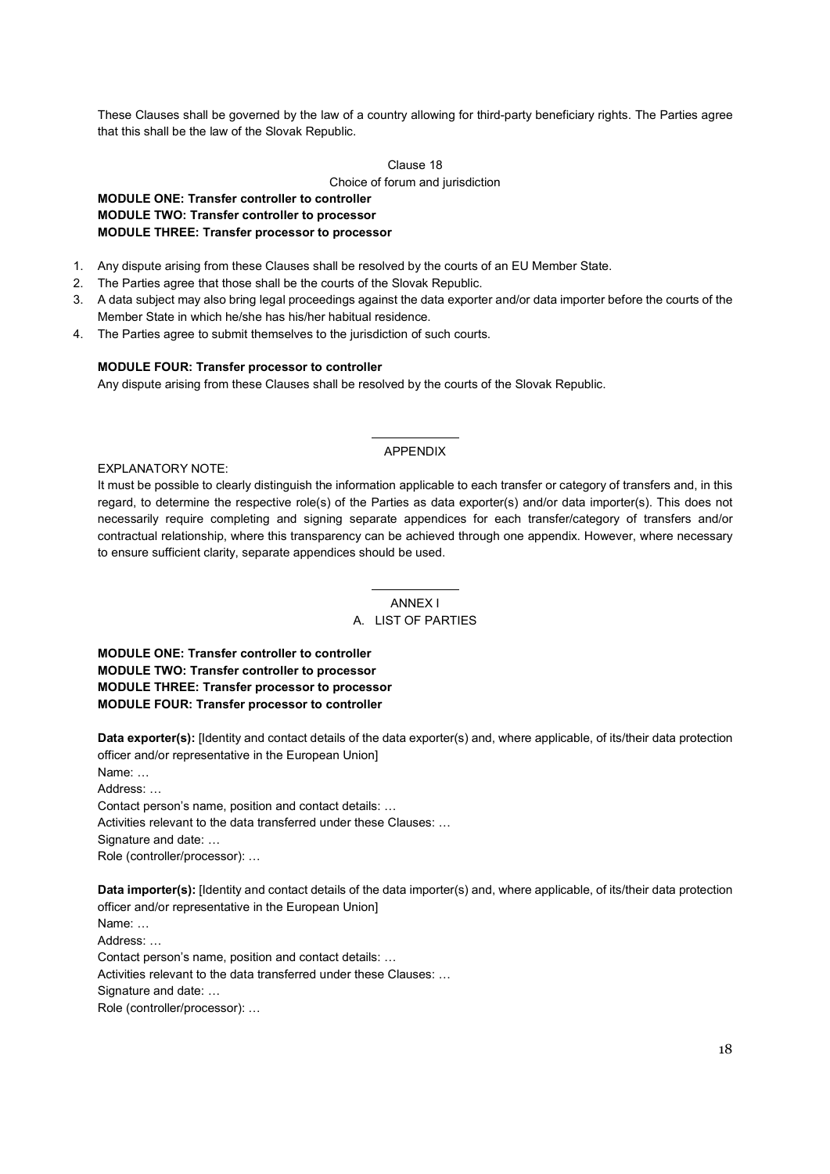These Clauses shall be governed by the law of a country allowing for third-party beneficiary rights. The Parties agree that this shall be the law of the Slovak Republic.

Clause 18

Choice of forum and jurisdiction

# MODULE ONE: Transfer controller to controller MODULE TWO: Transfer controller to processor MODULE THREE: Transfer processor to processor

- 1. Any dispute arising from these Clauses shall be resolved by the courts of an EU Member State.
- 2. The Parties agree that those shall be the courts of the Slovak Republic.
- 3. A data subject may also bring legal proceedings against the data exporter and/or data importer before the courts of the Member State in which he/she has his/her habitual residence.
- 4. The Parties agree to submit themselves to the jurisdiction of such courts.

# MODULE FOUR: Transfer processor to controller

Any dispute arising from these Clauses shall be resolved by the courts of the Slovak Republic.

# APPENDIX

#### EXPLANATORY NOTE:

It must be possible to clearly distinguish the information applicable to each transfer or category of transfers and, in this regard, to determine the respective role(s) of the Parties as data exporter(s) and/or data importer(s). This does not necessarily require completing and signing separate appendices for each transfer/category of transfers and/or contractual relationship, where this transparency can be achieved through one appendix. However, where necessary to ensure sufficient clarity, separate appendices should be used.

#### ANNEX I

# A. LIST OF PARTIES

MODULE ONE: Transfer controller to controller MODULE TWO: Transfer controller to processor MODULE THREE: Transfer processor to processor MODULE FOUR: Transfer processor to controller

Data exporter(s): [Identity and contact details of the data exporter(s) and, where applicable, of its/their data protection officer and/or representative in the European Union]

Name: …

Address: …

Contact person's name, position and contact details: … Activities relevant to the data transferred under these Clauses: … Signature and date: … Role (controller/processor): …

Data importer(s): [Identity and contact details of the data importer(s) and, where applicable, of its/their data protection officer and/or representative in the European Union]

Name: …

Address: …

Contact person's name, position and contact details: …

Activities relevant to the data transferred under these Clauses: …

Signature and date: ...

Role (controller/processor): …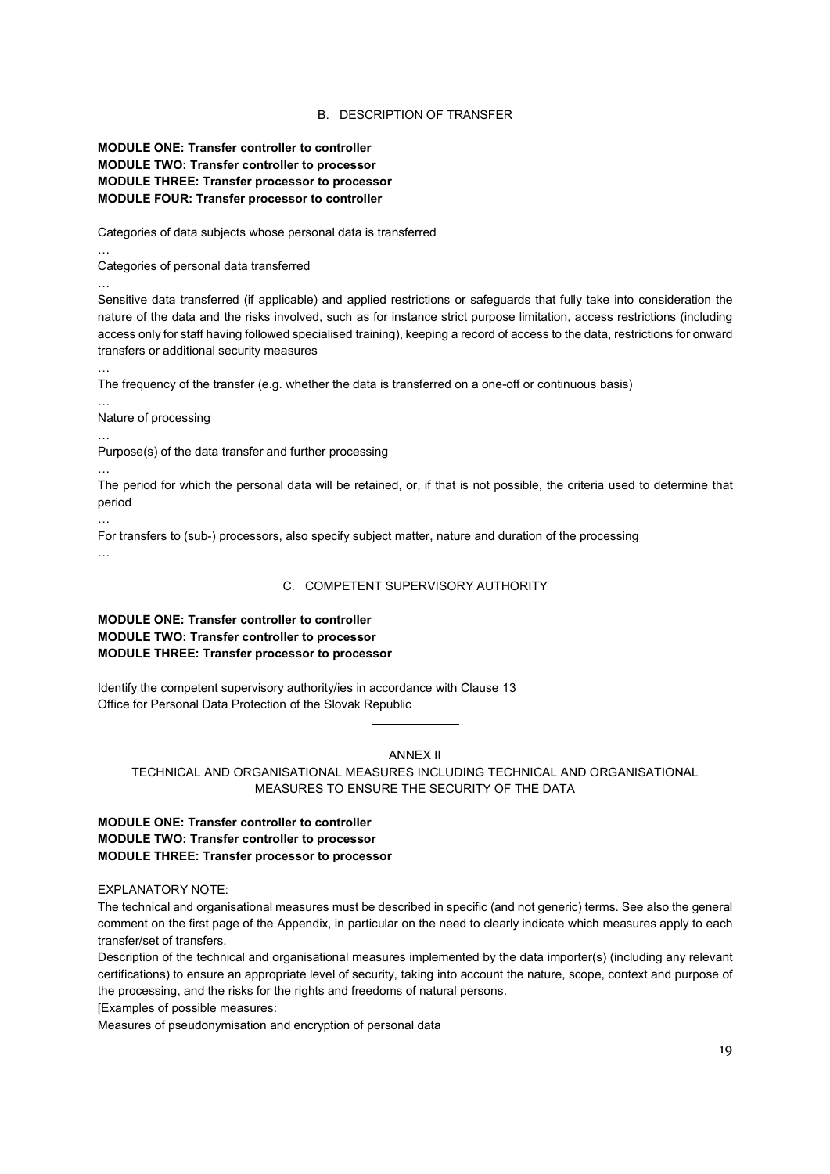# B. DESCRIPTION OF TRANSFER

# MODULE ONE: Transfer controller to controller MODULE TWO: Transfer controller to processor MODULE THREE: Transfer processor to processor MODULE FOUR: Transfer processor to controller

Categories of data subjects whose personal data is transferred

Categories of personal data transferred

…

…

Sensitive data transferred (if applicable) and applied restrictions or safeguards that fully take into consideration the nature of the data and the risks involved, such as for instance strict purpose limitation, access restrictions (including access only for staff having followed specialised training), keeping a record of access to the data, restrictions for onward transfers or additional security measures

The frequency of the transfer (e.g. whether the data is transferred on a one-off or continuous basis)

…

…

…

…

Nature of processing

Purpose(s) of the data transfer and further processing

… The period for which the personal data will be retained, or, if that is not possible, the criteria used to determine that period

For transfers to (sub-) processors, also specify subject matter, nature and duration of the processing …

# C. COMPETENT SUPERVISORY AUTHORITY

# MODULE ONE: Transfer controller to controller MODULE TWO: Transfer controller to processor MODULE THREE: Transfer processor to processor

Identify the competent supervisory authority/ies in accordance with Clause 13 Office for Personal Data Protection of the Slovak Republic

#### ANNEX II

TECHNICAL AND ORGANISATIONAL MEASURES INCLUDING TECHNICAL AND ORGANISATIONAL MEASURES TO ENSURE THE SECURITY OF THE DATA

# MODULE ONE: Transfer controller to controller MODULE TWO: Transfer controller to processor MODULE THREE: Transfer processor to processor

EXPLANATORY NOTE:

The technical and organisational measures must be described in specific (and not generic) terms. See also the general comment on the first page of the Appendix, in particular on the need to clearly indicate which measures apply to each transfer/set of transfers.

Description of the technical and organisational measures implemented by the data importer(s) (including any relevant certifications) to ensure an appropriate level of security, taking into account the nature, scope, context and purpose of the processing, and the risks for the rights and freedoms of natural persons.

[Examples of possible measures:

Measures of pseudonymisation and encryption of personal data